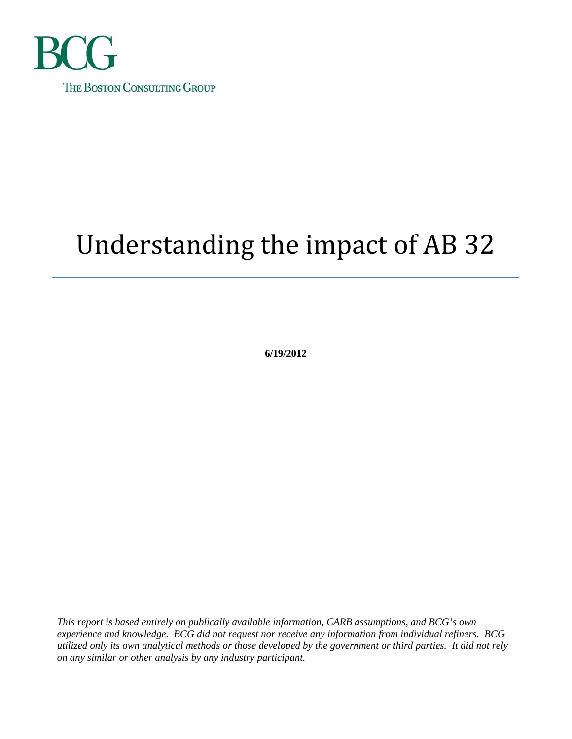

# Understanding the impact of AB 32

**6/19/2012** 

*This report is based entirely on publically available information, CARB assumptions, and BCG's own experience and knowledge. BCG did not request nor receive any information from individual refiners. BCG utilized only its own analytical methods or those developed by the government or third parties. It did not rely on any similar or other analysis by any industry participant.*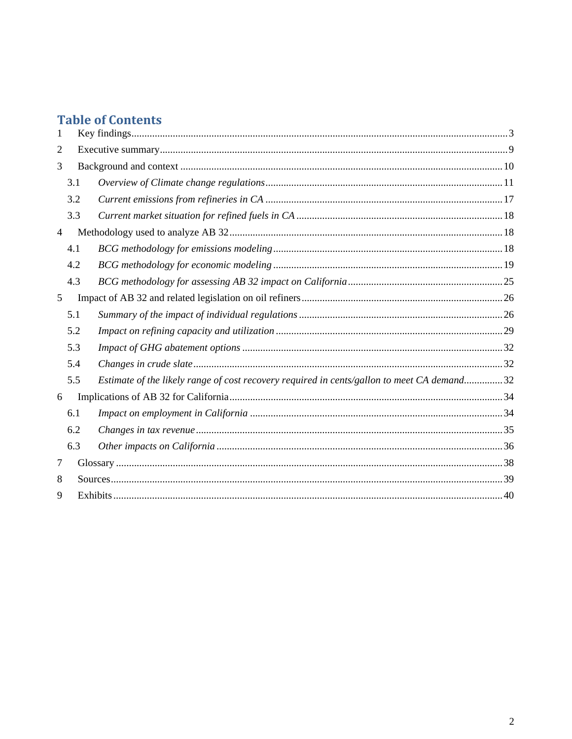# **Table of Contents**

| 1              |     |                                                                                            |  |  |
|----------------|-----|--------------------------------------------------------------------------------------------|--|--|
| 2              |     |                                                                                            |  |  |
| 3              |     |                                                                                            |  |  |
|                | 3.1 |                                                                                            |  |  |
|                | 3.2 |                                                                                            |  |  |
|                | 3.3 |                                                                                            |  |  |
| $\overline{4}$ |     |                                                                                            |  |  |
|                | 4.1 |                                                                                            |  |  |
|                | 4.2 |                                                                                            |  |  |
|                | 4.3 |                                                                                            |  |  |
| 5              |     |                                                                                            |  |  |
|                | 5.1 |                                                                                            |  |  |
|                | 5.2 |                                                                                            |  |  |
|                | 5.3 |                                                                                            |  |  |
|                | 5.4 |                                                                                            |  |  |
|                | 5.5 | Estimate of the likely range of cost recovery required in cents/gallon to meet CA demand32 |  |  |
| 6              |     |                                                                                            |  |  |
|                | 6.1 |                                                                                            |  |  |
|                | 6.2 |                                                                                            |  |  |
|                | 6.3 |                                                                                            |  |  |
| 7              |     |                                                                                            |  |  |
| 8              |     |                                                                                            |  |  |
| 9              |     |                                                                                            |  |  |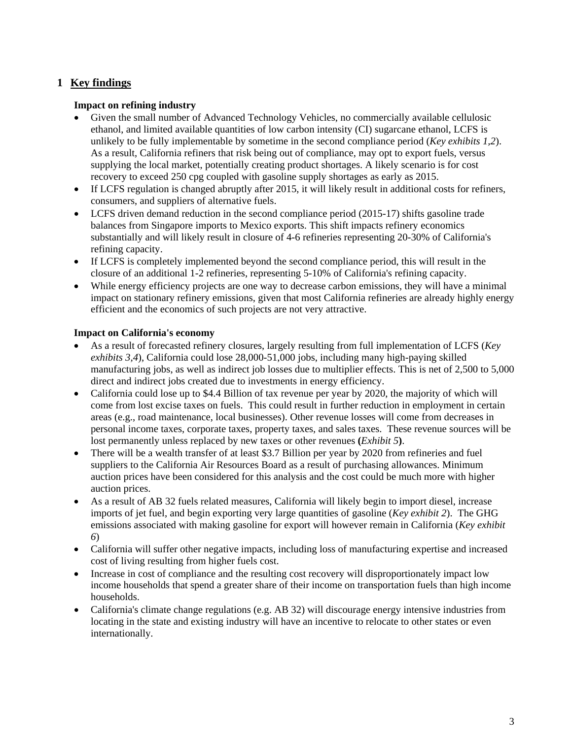### **1 Key findings**

### **Impact on refining industry**

- Given the small number of Advanced Technology Vehicles, no commercially available cellulosic ethanol, and limited available quantities of low carbon intensity (CI) sugarcane ethanol, LCFS is unlikely to be fully implementable by sometime in the second compliance period (*Key exhibits 1,2*). As a result, California refiners that risk being out of compliance, may opt to export fuels, versus supplying the local market, potentially creating product shortages. A likely scenario is for cost recovery to exceed 250 cpg coupled with gasoline supply shortages as early as 2015.
- If LCFS regulation is changed abruptly after 2015, it will likely result in additional costs for refiners, consumers, and suppliers of alternative fuels.
- LCFS driven demand reduction in the second compliance period (2015-17) shifts gasoline trade balances from Singapore imports to Mexico exports. This shift impacts refinery economics substantially and will likely result in closure of 4-6 refineries representing 20-30% of California's refining capacity.
- If LCFS is completely implemented beyond the second compliance period, this will result in the closure of an additional 1-2 refineries, representing 5-10% of California's refining capacity.
- While energy efficiency projects are one way to decrease carbon emissions, they will have a minimal impact on stationary refinery emissions, given that most California refineries are already highly energy efficient and the economics of such projects are not very attractive.

### **Impact on California's economy**

- As a result of forecasted refinery closures, largely resulting from full implementation of LCFS (*Key exhibits 3,4*), California could lose 28,000-51,000 jobs, including many high-paying skilled manufacturing jobs, as well as indirect job losses due to multiplier effects. This is net of 2,500 to 5,000 direct and indirect jobs created due to investments in energy efficiency.
- California could lose up to \$4.4 Billion of tax revenue per year by 2020, the majority of which will come from lost excise taxes on fuels. This could result in further reduction in employment in certain areas (e.g., road maintenance, local businesses). Other revenue losses will come from decreases in personal income taxes, corporate taxes, property taxes, and sales taxes. These revenue sources will be lost permanently unless replaced by new taxes or other revenues **(***Exhibit 5***)**.
- There will be a wealth transfer of at least \$3.7 Billion per year by 2020 from refineries and fuel suppliers to the California Air Resources Board as a result of purchasing allowances. Minimum auction prices have been considered for this analysis and the cost could be much more with higher auction prices.
- As a result of AB 32 fuels related measures, California will likely begin to import diesel, increase imports of jet fuel, and begin exporting very large quantities of gasoline (*Key exhibit 2*). The GHG emissions associated with making gasoline for export will however remain in California (*Key exhibit 6*)
- California will suffer other negative impacts, including loss of manufacturing expertise and increased cost of living resulting from higher fuels cost.
- Increase in cost of compliance and the resulting cost recovery will disproportionately impact low income households that spend a greater share of their income on transportation fuels than high income households.
- California's climate change regulations (e.g. AB 32) will discourage energy intensive industries from locating in the state and existing industry will have an incentive to relocate to other states or even internationally.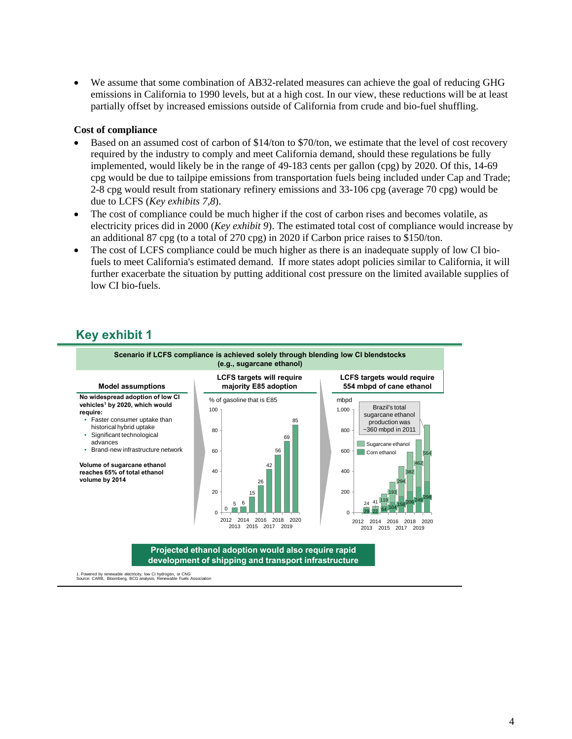We assume that some combination of AB32-related measures can achieve the goal of reducing GHG emissions in California to 1990 levels, but at a high cost. In our view, these reductions will be at least partially offset by increased emissions outside of California from crude and bio-fuel shuffling.

#### **Cost of compliance**

- Based on an assumed cost of carbon of \$14/ton to \$70/ton, we estimate that the level of cost recovery required by the industry to comply and meet California demand, should these regulations be fully implemented, would likely be in the range of 49-183 cents per gallon (cpg) by 2020. Of this, 14-69 cpg would be due to tailpipe emissions from transportation fuels being included under Cap and Trade; 2-8 cpg would result from stationary refinery emissions and 33-106 cpg (average 70 cpg) would be due to LCFS (*Key exhibits 7,8*).
- The cost of compliance could be much higher if the cost of carbon rises and becomes volatile, as electricity prices did in 2000 (*Key exhibit 9*). The estimated total cost of compliance would increase by an additional 87 cpg (to a total of 270 cpg) in 2020 if Carbon price raises to \$150/ton.
- The cost of LCFS compliance could be much higher as there is an inadequate supply of low CI biofuels to meet California's estimated demand. If more states adopt policies similar to California, it will further exacerbate the situation by putting additional cost pressure on the limited available supplies of low CI bio-fuels.

### **Key exhibit 1**



1. Powered by renewable electricity, low CI hydrogen, or CNG Source: CARB, Bloomberg, BCG analysis, Renewable Fuels Association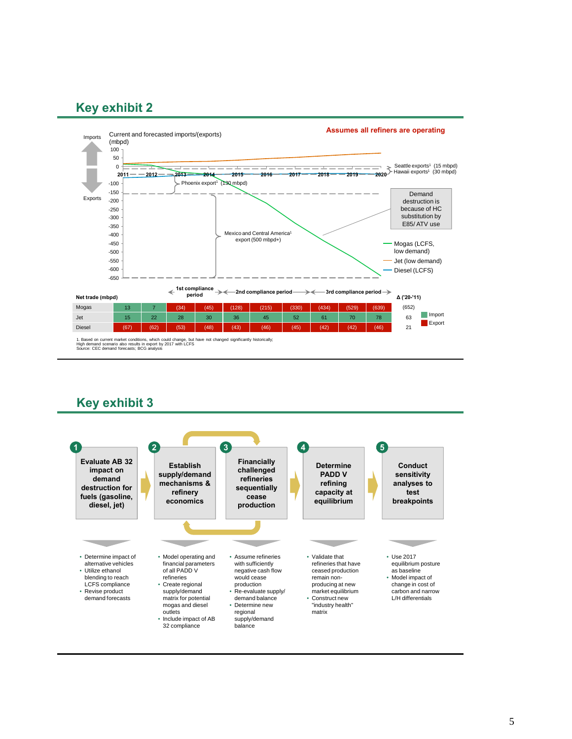

1. Based on current market conditions, which could change, but have not changed significantly historically;<br>High demand scenario also results in export by 2017 with LCFS<br>Source: CEC demand forecasts; BCG analysis

### **Key exhibit 3**

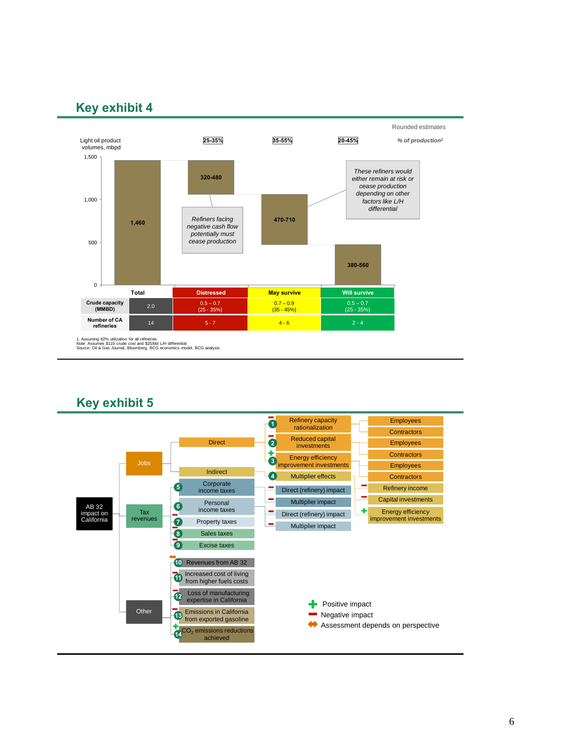

1. Assuming 82% utilization for all refineries Note: Assumes \$110 crude cost and \$25/bbl L/H differential Source: Oil & Gas Journal, Bloomberg, BCG economics model, BCG analysis

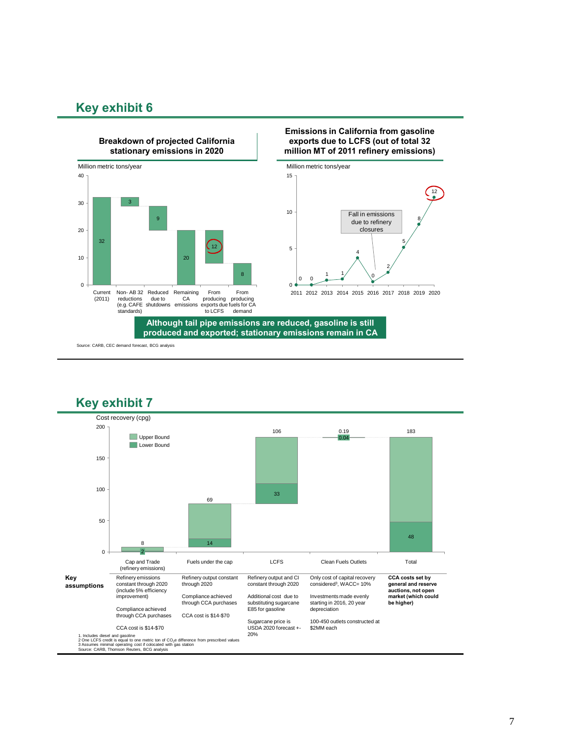

#### **Emissions in California from gasoline exports due to LCFS (out of total 32 million MT of 2011 refinery emissions)**





**Although tail pipe emissions are reduced, gasoline is still produced and exported; stationary emissions remain in CA**

Source: CARB, CEC demand forecast, BCG analysis

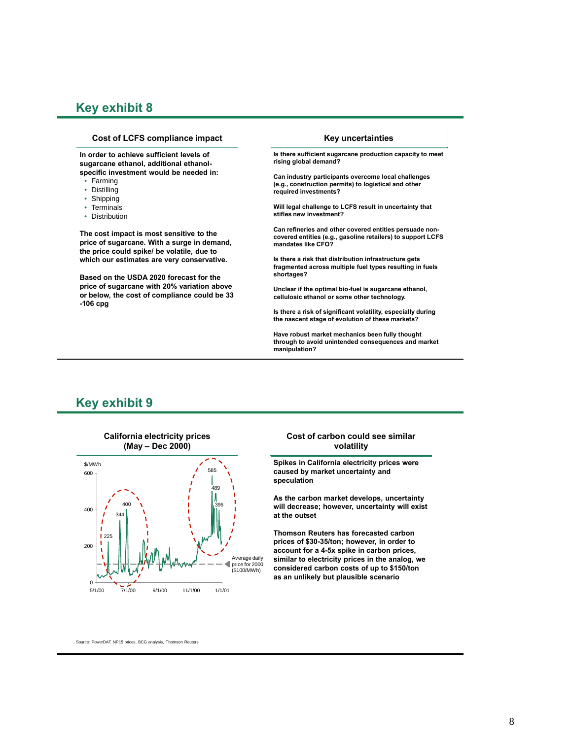#### **Cost of LCFS compliance impact**

**In order to achieve sufficient levels of sugarcane ethanol, additional ethanolspecific investment would be needed in:**

- Farming
- Distilling
- Shipping
- Terminals
- Distribution

**The cost impact is most sensitive to the price of sugarcane. With a surge in demand, the price could spike/ be volatile, due to which our estimates are very conservative.** 

**Based on the USDA 2020 forecast for the price of sugarcane with 20% variation above or below, the cost of compliance could be 33 -106 cpg**

#### **Key uncertainties**

**Is there sufficient sugarcane production capacity to meet rising global demand?**

**Can industry participants overcome local challenges (e.g., construction permits) to logistical and other required investments?** 

**Will legal challenge to LCFS result in uncertainty that stifles new investment?**

**Can refineries and other covered entities persuade noncovered entities (e.g., gasoline retailers) to support LCFS mandates like CFO?**

**Is there a risk that distribution infrastructure gets fragmented across multiple fuel types resulting in fuels shortages?**

**Unclear if the optimal bio-fuel is sugarcane ethanol, cellulosic ethanol or some other technology.**

**Is there a risk of significant volatility, especially during the nascent stage of evolution of these markets?**

**Have robust market mechanics been fully thought through to avoid unintended consequences and market manipulation?**

### **Key exhibit 9**



#### **Cost of carbon could see similar volatility**

**Spikes in California electricity prices were caused by market uncertainty and speculation**

**As the carbon market develops, uncertainty will decrease; however, uncertainty will exist at the outset**

**Thomson Reuters has forecasted carbon prices of \$30-35/ton; however, in order to account for a 4-5x spike in carbon prices, similar to electricity prices in the analog, we considered carbon costs of up to \$150/ton as an unlikely but plausible scenario**

Source: PowerDAT NP15 prices, BCG analysis, Thomson Reuters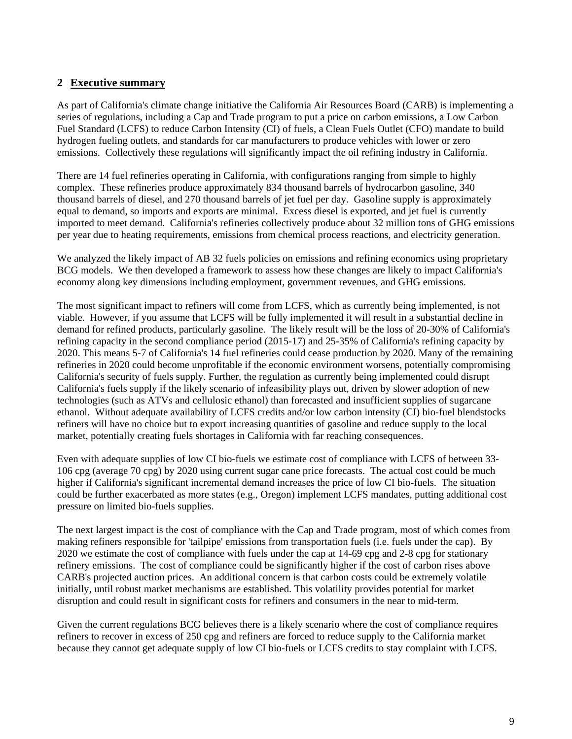### **2 Executive summary**

As part of California's climate change initiative the California Air Resources Board (CARB) is implementing a series of regulations, including a Cap and Trade program to put a price on carbon emissions, a Low Carbon Fuel Standard (LCFS) to reduce Carbon Intensity (CI) of fuels, a Clean Fuels Outlet (CFO) mandate to build hydrogen fueling outlets, and standards for car manufacturers to produce vehicles with lower or zero emissions. Collectively these regulations will significantly impact the oil refining industry in California.

There are 14 fuel refineries operating in California, with configurations ranging from simple to highly complex. These refineries produce approximately 834 thousand barrels of hydrocarbon gasoline, 340 thousand barrels of diesel, and 270 thousand barrels of jet fuel per day. Gasoline supply is approximately equal to demand, so imports and exports are minimal. Excess diesel is exported, and jet fuel is currently imported to meet demand. California's refineries collectively produce about 32 million tons of GHG emissions per year due to heating requirements, emissions from chemical process reactions, and electricity generation.

We analyzed the likely impact of AB 32 fuels policies on emissions and refining economics using proprietary BCG models. We then developed a framework to assess how these changes are likely to impact California's economy along key dimensions including employment, government revenues, and GHG emissions.

The most significant impact to refiners will come from LCFS, which as currently being implemented, is not viable. However, if you assume that LCFS will be fully implemented it will result in a substantial decline in demand for refined products, particularly gasoline. The likely result will be the loss of 20-30% of California's refining capacity in the second compliance period (2015-17) and 25-35% of California's refining capacity by 2020. This means 5-7 of California's 14 fuel refineries could cease production by 2020. Many of the remaining refineries in 2020 could become unprofitable if the economic environment worsens, potentially compromising California's security of fuels supply. Further, the regulation as currently being implemented could disrupt California's fuels supply if the likely scenario of infeasibility plays out, driven by slower adoption of new technologies (such as ATVs and cellulosic ethanol) than forecasted and insufficient supplies of sugarcane ethanol. Without adequate availability of LCFS credits and/or low carbon intensity (CI) bio-fuel blendstocks refiners will have no choice but to export increasing quantities of gasoline and reduce supply to the local market, potentially creating fuels shortages in California with far reaching consequences.

Even with adequate supplies of low CI bio-fuels we estimate cost of compliance with LCFS of between 33- 106 cpg (average 70 cpg) by 2020 using current sugar cane price forecasts. The actual cost could be much higher if California's significant incremental demand increases the price of low CI bio-fuels. The situation could be further exacerbated as more states (e.g., Oregon) implement LCFS mandates, putting additional cost pressure on limited bio-fuels supplies.

The next largest impact is the cost of compliance with the Cap and Trade program, most of which comes from making refiners responsible for 'tailpipe' emissions from transportation fuels (i.e. fuels under the cap). By 2020 we estimate the cost of compliance with fuels under the cap at 14-69 cpg and 2-8 cpg for stationary refinery emissions. The cost of compliance could be significantly higher if the cost of carbon rises above CARB's projected auction prices. An additional concern is that carbon costs could be extremely volatile initially, until robust market mechanisms are established. This volatility provides potential for market disruption and could result in significant costs for refiners and consumers in the near to mid-term.

Given the current regulations BCG believes there is a likely scenario where the cost of compliance requires refiners to recover in excess of 250 cpg and refiners are forced to reduce supply to the California market because they cannot get adequate supply of low CI bio-fuels or LCFS credits to stay complaint with LCFS.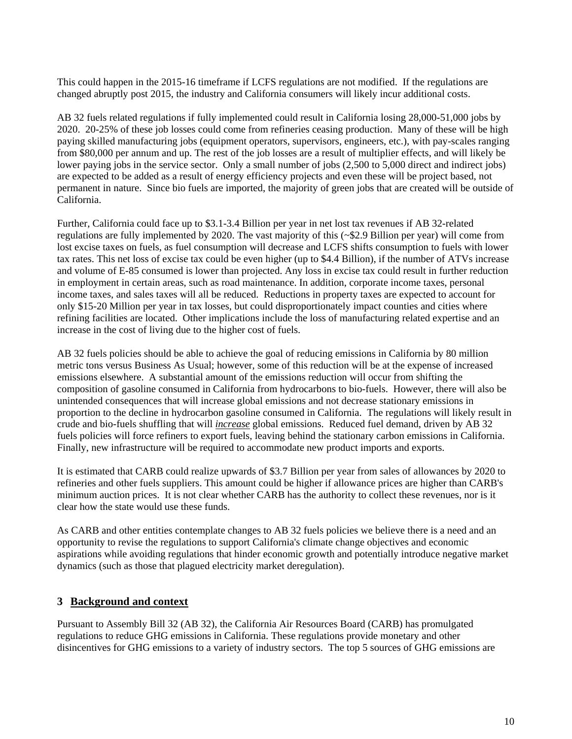This could happen in the 2015-16 timeframe if LCFS regulations are not modified. If the regulations are changed abruptly post 2015, the industry and California consumers will likely incur additional costs.

AB 32 fuels related regulations if fully implemented could result in California losing 28,000-51,000 jobs by 2020. 20-25% of these job losses could come from refineries ceasing production. Many of these will be high paying skilled manufacturing jobs (equipment operators, supervisors, engineers, etc.), with pay-scales ranging from \$80,000 per annum and up. The rest of the job losses are a result of multiplier effects, and will likely be lower paying jobs in the service sector. Only a small number of jobs (2,500 to 5,000 direct and indirect jobs) are expected to be added as a result of energy efficiency projects and even these will be project based, not permanent in nature. Since bio fuels are imported, the majority of green jobs that are created will be outside of California.

Further, California could face up to \$3.1-3.4 Billion per year in net lost tax revenues if AB 32-related regulations are fully implemented by 2020. The vast majority of this (~\$2.9 Billion per year) will come from lost excise taxes on fuels, as fuel consumption will decrease and LCFS shifts consumption to fuels with lower tax rates. This net loss of excise tax could be even higher (up to \$4.4 Billion), if the number of ATVs increase and volume of E-85 consumed is lower than projected. Any loss in excise tax could result in further reduction in employment in certain areas, such as road maintenance. In addition, corporate income taxes, personal income taxes, and sales taxes will all be reduced. Reductions in property taxes are expected to account for only \$15-20 Million per year in tax losses, but could disproportionately impact counties and cities where refining facilities are located. Other implications include the loss of manufacturing related expertise and an increase in the cost of living due to the higher cost of fuels.

AB 32 fuels policies should be able to achieve the goal of reducing emissions in California by 80 million metric tons versus Business As Usual; however, some of this reduction will be at the expense of increased emissions elsewhere. A substantial amount of the emissions reduction will occur from shifting the composition of gasoline consumed in California from hydrocarbons to bio-fuels. However, there will also be unintended consequences that will increase global emissions and not decrease stationary emissions in proportion to the decline in hydrocarbon gasoline consumed in California. The regulations will likely result in crude and bio-fuels shuffling that will *increase* global emissions. Reduced fuel demand, driven by AB 32 fuels policies will force refiners to export fuels, leaving behind the stationary carbon emissions in California. Finally, new infrastructure will be required to accommodate new product imports and exports.

It is estimated that CARB could realize upwards of \$3.7 Billion per year from sales of allowances by 2020 to refineries and other fuels suppliers. This amount could be higher if allowance prices are higher than CARB's minimum auction prices. It is not clear whether CARB has the authority to collect these revenues, nor is it clear how the state would use these funds.

As CARB and other entities contemplate changes to AB 32 fuels policies we believe there is a need and an opportunity to revise the regulations to support California's climate change objectives and economic aspirations while avoiding regulations that hinder economic growth and potentially introduce negative market dynamics (such as those that plagued electricity market deregulation).

### **3 Background and context**

Pursuant to Assembly Bill 32 (AB 32), the California Air Resources Board (CARB) has promulgated regulations to reduce GHG emissions in California. These regulations provide monetary and other disincentives for GHG emissions to a variety of industry sectors. The top 5 sources of GHG emissions are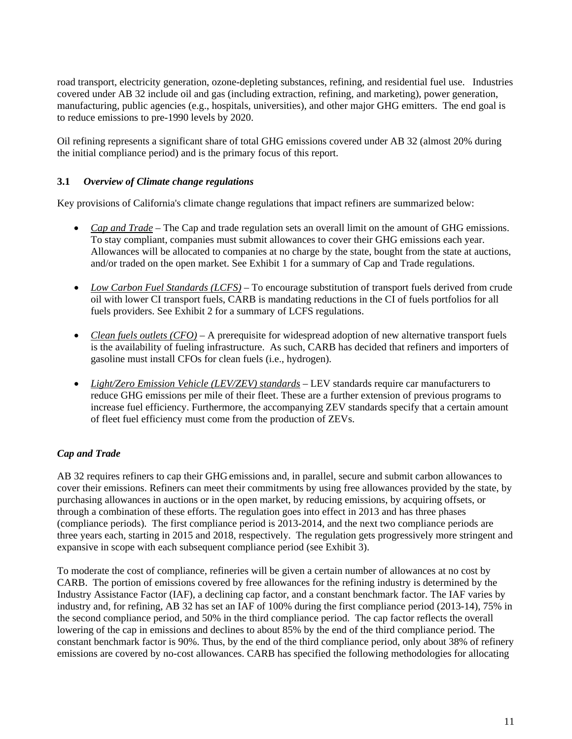road transport, electricity generation, ozone-depleting substances, refining, and residential fuel use. Industries covered under AB 32 include oil and gas (including extraction, refining, and marketing), power generation, manufacturing, public agencies (e.g., hospitals, universities), and other major GHG emitters. The end goal is to reduce emissions to pre-1990 levels by 2020.

Oil refining represents a significant share of total GHG emissions covered under AB 32 (almost 20% during the initial compliance period) and is the primary focus of this report.

### **3.1** *Overview of Climate change regulations*

Key provisions of California's climate change regulations that impact refiners are summarized below:

- *Cap and Trade* The Cap and trade regulation sets an overall limit on the amount of GHG emissions. To stay compliant, companies must submit allowances to cover their GHG emissions each year. Allowances will be allocated to companies at no charge by the state, bought from the state at auctions, and/or traded on the open market. See Exhibit 1 for a summary of Cap and Trade regulations.
- *Low Carbon Fuel Standards (LCFS)* To encourage substitution of transport fuels derived from crude oil with lower CI transport fuels, CARB is mandating reductions in the CI of fuels portfolios for all fuels providers. See Exhibit 2 for a summary of LCFS regulations.
- Clean fuels outlets (CFO) A prerequisite for widespread adoption of new alternative transport fuels is the availability of fueling infrastructure. As such, CARB has decided that refiners and importers of gasoline must install CFOs for clean fuels (i.e., hydrogen).
- *Light/Zero Emission Vehicle (LEV/ZEV) standards* LEV standards require car manufacturers to reduce GHG emissions per mile of their fleet. These are a further extension of previous programs to increase fuel efficiency. Furthermore, the accompanying ZEV standards specify that a certain amount of fleet fuel efficiency must come from the production of ZEVs.

### *Cap and Trade*

AB 32 requires refiners to cap their GHG emissions and, in parallel, secure and submit carbon allowances to cover their emissions. Refiners can meet their commitments by using free allowances provided by the state, by purchasing allowances in auctions or in the open market, by reducing emissions, by acquiring offsets, or through a combination of these efforts. The regulation goes into effect in 2013 and has three phases (compliance periods). The first compliance period is 2013-2014, and the next two compliance periods are three years each, starting in 2015 and 2018, respectively. The regulation gets progressively more stringent and expansive in scope with each subsequent compliance period (see Exhibit 3).

To moderate the cost of compliance, refineries will be given a certain number of allowances at no cost by CARB. The portion of emissions covered by free allowances for the refining industry is determined by the Industry Assistance Factor (IAF), a declining cap factor, and a constant benchmark factor. The IAF varies by industry and, for refining, AB 32 has set an IAF of 100% during the first compliance period (2013-14), 75% in the second compliance period, and 50% in the third compliance period. The cap factor reflects the overall lowering of the cap in emissions and declines to about 85% by the end of the third compliance period. The constant benchmark factor is 90%. Thus, by the end of the third compliance period, only about 38% of refinery emissions are covered by no-cost allowances. CARB has specified the following methodologies for allocating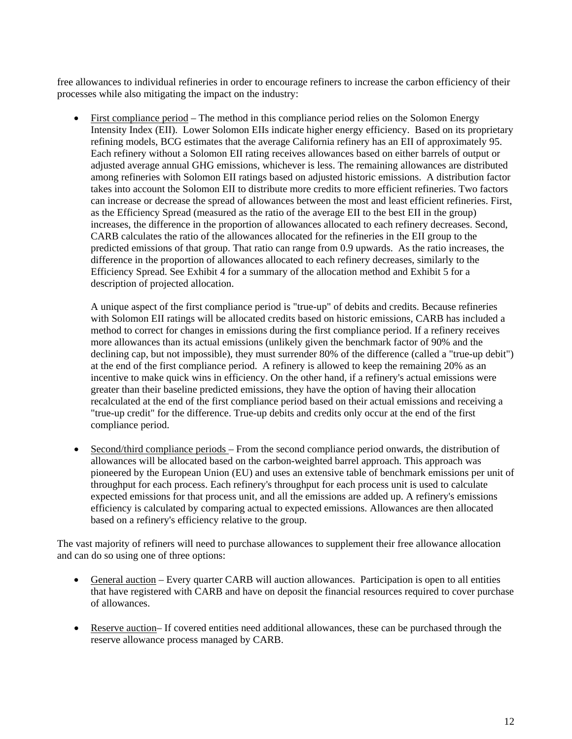free allowances to individual refineries in order to encourage refiners to increase the carbon efficiency of their processes while also mitigating the impact on the industry:

 First compliance period – The method in this compliance period relies on the Solomon Energy Intensity Index (EII). Lower Solomon EIIs indicate higher energy efficiency. Based on its proprietary refining models, BCG estimates that the average California refinery has an EII of approximately 95. Each refinery without a Solomon EII rating receives allowances based on either barrels of output or adjusted average annual GHG emissions, whichever is less. The remaining allowances are distributed among refineries with Solomon EII ratings based on adjusted historic emissions. A distribution factor takes into account the Solomon EII to distribute more credits to more efficient refineries. Two factors can increase or decrease the spread of allowances between the most and least efficient refineries. First, as the Efficiency Spread (measured as the ratio of the average EII to the best EII in the group) increases, the difference in the proportion of allowances allocated to each refinery decreases. Second, CARB calculates the ratio of the allowances allocated for the refineries in the EII group to the predicted emissions of that group. That ratio can range from 0.9 upwards. As the ratio increases, the difference in the proportion of allowances allocated to each refinery decreases, similarly to the Efficiency Spread. See Exhibit 4 for a summary of the allocation method and Exhibit 5 for a description of projected allocation.

A unique aspect of the first compliance period is "true-up" of debits and credits. Because refineries with Solomon EII ratings will be allocated credits based on historic emissions, CARB has included a method to correct for changes in emissions during the first compliance period. If a refinery receives more allowances than its actual emissions (unlikely given the benchmark factor of 90% and the declining cap, but not impossible), they must surrender 80% of the difference (called a "true-up debit") at the end of the first compliance period. A refinery is allowed to keep the remaining 20% as an incentive to make quick wins in efficiency. On the other hand, if a refinery's actual emissions were greater than their baseline predicted emissions, they have the option of having their allocation recalculated at the end of the first compliance period based on their actual emissions and receiving a "true-up credit" for the difference. True-up debits and credits only occur at the end of the first compliance period.

 Second/third compliance periods – From the second compliance period onwards, the distribution of allowances will be allocated based on the carbon-weighted barrel approach. This approach was pioneered by the European Union (EU) and uses an extensive table of benchmark emissions per unit of throughput for each process. Each refinery's throughput for each process unit is used to calculate expected emissions for that process unit, and all the emissions are added up. A refinery's emissions efficiency is calculated by comparing actual to expected emissions. Allowances are then allocated based on a refinery's efficiency relative to the group.

The vast majority of refiners will need to purchase allowances to supplement their free allowance allocation and can do so using one of three options:

- General auction Every quarter CARB will auction allowances. Participation is open to all entities that have registered with CARB and have on deposit the financial resources required to cover purchase of allowances.
- Reserve auction– If covered entities need additional allowances, these can be purchased through the reserve allowance process managed by CARB.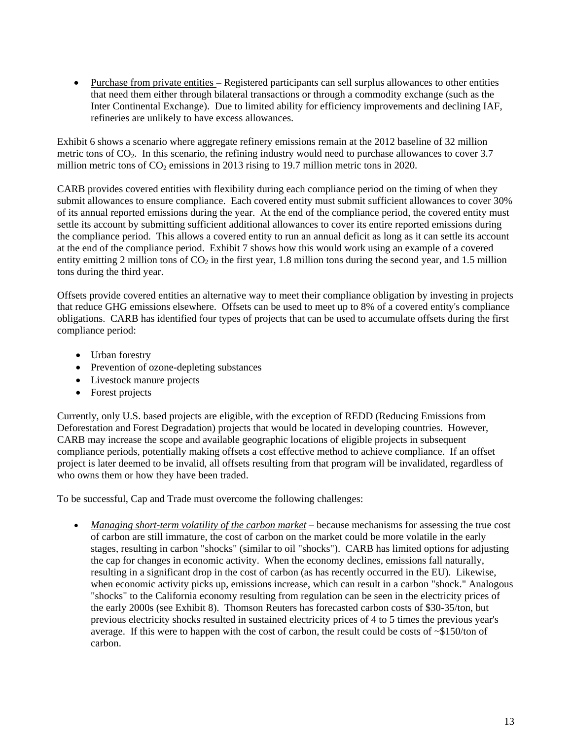Purchase from private entities – Registered participants can sell surplus allowances to other entities that need them either through bilateral transactions or through a commodity exchange (such as the Inter Continental Exchange). Due to limited ability for efficiency improvements and declining IAF, refineries are unlikely to have excess allowances.

Exhibit 6 shows a scenario where aggregate refinery emissions remain at the 2012 baseline of 32 million metric tons of  $CO<sub>2</sub>$ . In this scenario, the refining industry would need to purchase allowances to cover 3.7 million metric tons of  $CO<sub>2</sub>$  emissions in 2013 rising to 19.7 million metric tons in 2020.

CARB provides covered entities with flexibility during each compliance period on the timing of when they submit allowances to ensure compliance. Each covered entity must submit sufficient allowances to cover 30% of its annual reported emissions during the year. At the end of the compliance period, the covered entity must settle its account by submitting sufficient additional allowances to cover its entire reported emissions during the compliance period. This allows a covered entity to run an annual deficit as long as it can settle its account at the end of the compliance period. Exhibit 7 shows how this would work using an example of a covered entity emitting 2 million tons of  $CO<sub>2</sub>$  in the first year, 1.8 million tons during the second year, and 1.5 million tons during the third year.

Offsets provide covered entities an alternative way to meet their compliance obligation by investing in projects that reduce GHG emissions elsewhere. Offsets can be used to meet up to 8% of a covered entity's compliance obligations. CARB has identified four types of projects that can be used to accumulate offsets during the first compliance period:

- Urban forestry
- Prevention of ozone-depleting substances
- Livestock manure projects
- Forest projects

Currently, only U.S. based projects are eligible, with the exception of REDD (Reducing Emissions from Deforestation and Forest Degradation) projects that would be located in developing countries. However, CARB may increase the scope and available geographic locations of eligible projects in subsequent compliance periods, potentially making offsets a cost effective method to achieve compliance. If an offset project is later deemed to be invalid, all offsets resulting from that program will be invalidated, regardless of who owns them or how they have been traded.

To be successful, Cap and Trade must overcome the following challenges:

 *Managing short-term volatility of the carbon market* – because mechanisms for assessing the true cost of carbon are still immature, the cost of carbon on the market could be more volatile in the early stages, resulting in carbon "shocks" (similar to oil "shocks"). CARB has limited options for adjusting the cap for changes in economic activity. When the economy declines, emissions fall naturally, resulting in a significant drop in the cost of carbon (as has recently occurred in the EU). Likewise, when economic activity picks up, emissions increase, which can result in a carbon "shock." Analogous "shocks" to the California economy resulting from regulation can be seen in the electricity prices of the early 2000s (see Exhibit 8). Thomson Reuters has forecasted carbon costs of \$30-35/ton, but previous electricity shocks resulted in sustained electricity prices of 4 to 5 times the previous year's average. If this were to happen with the cost of carbon, the result could be costs of ~\$150/ton of carbon.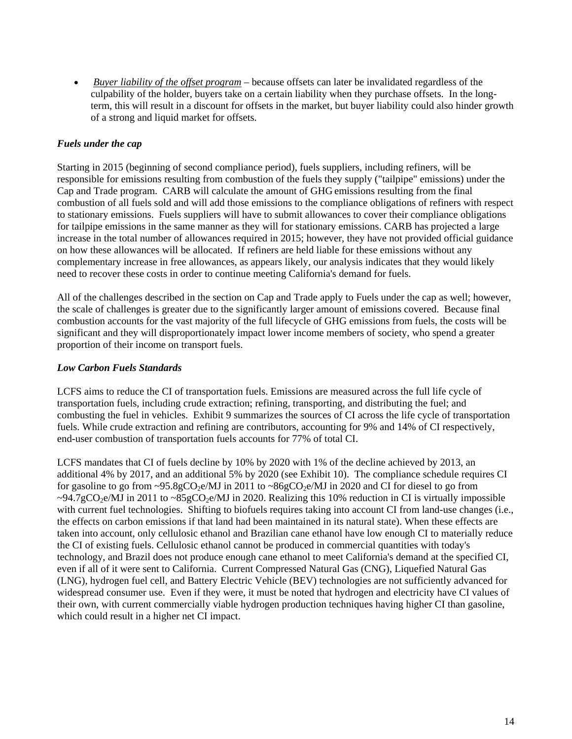*Buyer liability of the offset program* – because offsets can later be invalidated regardless of the culpability of the holder, buyers take on a certain liability when they purchase offsets. In the longterm, this will result in a discount for offsets in the market, but buyer liability could also hinder growth of a strong and liquid market for offsets.

### *Fuels under the cap*

Starting in 2015 (beginning of second compliance period), fuels suppliers, including refiners, will be responsible for emissions resulting from combustion of the fuels they supply ("tailpipe" emissions) under the Cap and Trade program. CARB will calculate the amount of GHG emissions resulting from the final combustion of all fuels sold and will add those emissions to the compliance obligations of refiners with respect to stationary emissions. Fuels suppliers will have to submit allowances to cover their compliance obligations for tailpipe emissions in the same manner as they will for stationary emissions. CARB has projected a large increase in the total number of allowances required in 2015; however, they have not provided official guidance on how these allowances will be allocated. If refiners are held liable for these emissions without any complementary increase in free allowances, as appears likely, our analysis indicates that they would likely need to recover these costs in order to continue meeting California's demand for fuels.

All of the challenges described in the section on Cap and Trade apply to Fuels under the cap as well; however, the scale of challenges is greater due to the significantly larger amount of emissions covered. Because final combustion accounts for the vast majority of the full lifecycle of GHG emissions from fuels, the costs will be significant and they will disproportionately impact lower income members of society, who spend a greater proportion of their income on transport fuels.

#### *Low Carbon Fuels Standards*

LCFS aims to reduce the CI of transportation fuels. Emissions are measured across the full life cycle of transportation fuels, including crude extraction; refining, transporting, and distributing the fuel; and combusting the fuel in vehicles. Exhibit 9 summarizes the sources of CI across the life cycle of transportation fuels. While crude extraction and refining are contributors, accounting for 9% and 14% of CI respectively, end-user combustion of transportation fuels accounts for 77% of total CI.

LCFS mandates that CI of fuels decline by 10% by 2020 with 1% of the decline achieved by 2013, an additional 4% by 2017, and an additional 5% by 2020 (see Exhibit 10). The compliance schedule requires CI for gasoline to go from  $\sim$ 95.8gCO<sub>2</sub>e/MJ in 2011 to  $\sim$ 86gCO<sub>2</sub>e/MJ in 2020 and CI for diesel to go from  $\sim$ 94.7gCO<sub>2</sub>e/MJ in 2011 to  $\sim$ 85gCO<sub>2</sub>e/MJ in 2020. Realizing this 10% reduction in CI is virtually impossible with current fuel technologies. Shifting to biofuels requires taking into account CI from land-use changes (i.e., the effects on carbon emissions if that land had been maintained in its natural state). When these effects are taken into account, only cellulosic ethanol and Brazilian cane ethanol have low enough CI to materially reduce the CI of existing fuels. Cellulosic ethanol cannot be produced in commercial quantities with today's technology, and Brazil does not produce enough cane ethanol to meet California's demand at the specified CI, even if all of it were sent to California. Current Compressed Natural Gas (CNG), Liquefied Natural Gas (LNG), hydrogen fuel cell, and Battery Electric Vehicle (BEV) technologies are not sufficiently advanced for widespread consumer use. Even if they were, it must be noted that hydrogen and electricity have CI values of their own, with current commercially viable hydrogen production techniques having higher CI than gasoline, which could result in a higher net CI impact.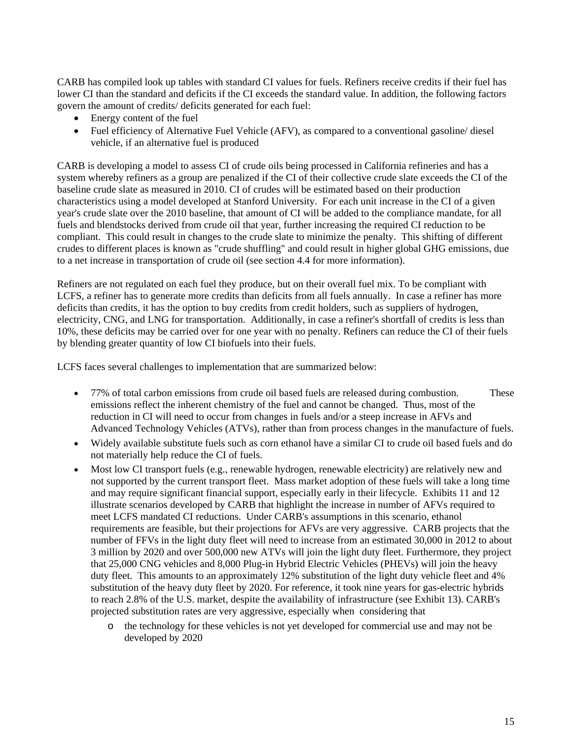CARB has compiled look up tables with standard CI values for fuels. Refiners receive credits if their fuel has lower CI than the standard and deficits if the CI exceeds the standard value. In addition, the following factors govern the amount of credits/ deficits generated for each fuel:

- Energy content of the fuel
- Fuel efficiency of Alternative Fuel Vehicle (AFV), as compared to a conventional gasoline/ diesel vehicle, if an alternative fuel is produced

CARB is developing a model to assess CI of crude oils being processed in California refineries and has a system whereby refiners as a group are penalized if the CI of their collective crude slate exceeds the CI of the baseline crude slate as measured in 2010. CI of crudes will be estimated based on their production characteristics using a model developed at Stanford University. For each unit increase in the CI of a given year's crude slate over the 2010 baseline, that amount of CI will be added to the compliance mandate, for all fuels and blendstocks derived from crude oil that year, further increasing the required CI reduction to be compliant. This could result in changes to the crude slate to minimize the penalty. This shifting of different crudes to different places is known as "crude shuffling" and could result in higher global GHG emissions, due to a net increase in transportation of crude oil (see section 4.4 for more information).

Refiners are not regulated on each fuel they produce, but on their overall fuel mix. To be compliant with LCFS, a refiner has to generate more credits than deficits from all fuels annually. In case a refiner has more deficits than credits, it has the option to buy credits from credit holders, such as suppliers of hydrogen, electricity, CNG, and LNG for transportation. Additionally, in case a refiner's shortfall of credits is less than 10%, these deficits may be carried over for one year with no penalty. Refiners can reduce the CI of their fuels by blending greater quantity of low CI biofuels into their fuels.

LCFS faces several challenges to implementation that are summarized below:

- 77% of total carbon emissions from crude oil based fuels are released during combustion. These emissions reflect the inherent chemistry of the fuel and cannot be changed. Thus, most of the reduction in CI will need to occur from changes in fuels and/or a steep increase in AFVs and Advanced Technology Vehicles (ATVs), rather than from process changes in the manufacture of fuels.
- Widely available substitute fuels such as corn ethanol have a similar CI to crude oil based fuels and do not materially help reduce the CI of fuels.
- Most low CI transport fuels (e.g., renewable hydrogen, renewable electricity) are relatively new and not supported by the current transport fleet. Mass market adoption of these fuels will take a long time and may require significant financial support, especially early in their lifecycle. Exhibits 11 and 12 illustrate scenarios developed by CARB that highlight the increase in number of AFVs required to meet LCFS mandated CI reductions. Under CARB's assumptions in this scenario, ethanol requirements are feasible, but their projections for AFVs are very aggressive. CARB projects that the number of FFVs in the light duty fleet will need to increase from an estimated 30,000 in 2012 to about 3 million by 2020 and over 500,000 new ATVs will join the light duty fleet. Furthermore, they project that 25,000 CNG vehicles and 8,000 Plug-in Hybrid Electric Vehicles (PHEVs) will join the heavy duty fleet. This amounts to an approximately 12% substitution of the light duty vehicle fleet and 4% substitution of the heavy duty fleet by 2020. For reference, it took nine years for gas-electric hybrids to reach 2.8% of the U.S. market, despite the availability of infrastructure (see Exhibit 13). CARB's projected substitution rates are very aggressive, especially when considering that
	- o the technology for these vehicles is not yet developed for commercial use and may not be developed by 2020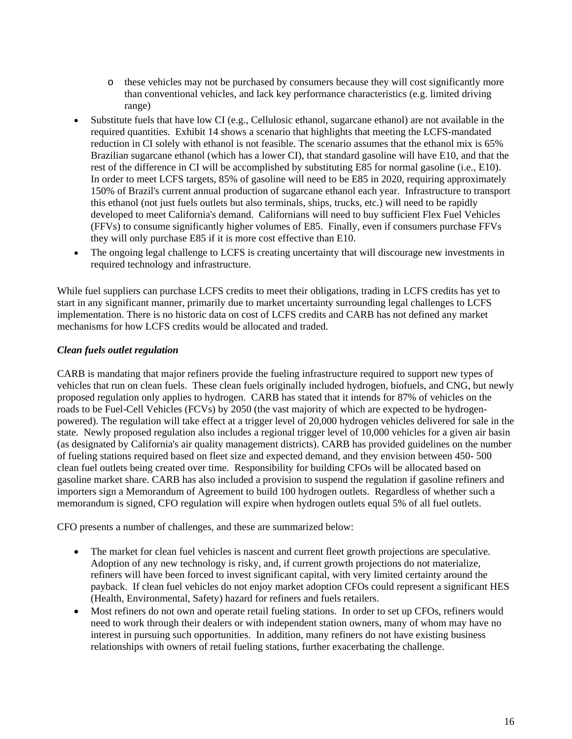- o these vehicles may not be purchased by consumers because they will cost significantly more than conventional vehicles, and lack key performance characteristics (e.g. limited driving range)
- Substitute fuels that have low CI (e.g., Cellulosic ethanol, sugarcane ethanol) are not available in the required quantities. Exhibit 14 shows a scenario that highlights that meeting the LCFS-mandated reduction in CI solely with ethanol is not feasible. The scenario assumes that the ethanol mix is 65% Brazilian sugarcane ethanol (which has a lower CI), that standard gasoline will have E10, and that the rest of the difference in CI will be accomplished by substituting E85 for normal gasoline (i.e., E10). In order to meet LCFS targets, 85% of gasoline will need to be E85 in 2020, requiring approximately 150% of Brazil's current annual production of sugarcane ethanol each year. Infrastructure to transport this ethanol (not just fuels outlets but also terminals, ships, trucks, etc.) will need to be rapidly developed to meet California's demand. Californians will need to buy sufficient Flex Fuel Vehicles (FFVs) to consume significantly higher volumes of E85. Finally, even if consumers purchase FFVs they will only purchase E85 if it is more cost effective than E10.
- The ongoing legal challenge to LCFS is creating uncertainty that will discourage new investments in required technology and infrastructure.

While fuel suppliers can purchase LCFS credits to meet their obligations, trading in LCFS credits has yet to start in any significant manner, primarily due to market uncertainty surrounding legal challenges to LCFS implementation. There is no historic data on cost of LCFS credits and CARB has not defined any market mechanisms for how LCFS credits would be allocated and traded.

### *Clean fuels outlet regulation*

CARB is mandating that major refiners provide the fueling infrastructure required to support new types of vehicles that run on clean fuels. These clean fuels originally included hydrogen, biofuels, and CNG, but newly proposed regulation only applies to hydrogen. CARB has stated that it intends for 87% of vehicles on the roads to be Fuel-Cell Vehicles (FCVs) by 2050 (the vast majority of which are expected to be hydrogenpowered). The regulation will take effect at a trigger level of 20,000 hydrogen vehicles delivered for sale in the state. Newly proposed regulation also includes a regional trigger level of 10,000 vehicles for a given air basin (as designated by California's air quality management districts). CARB has provided guidelines on the number of fueling stations required based on fleet size and expected demand, and they envision between 450- 500 clean fuel outlets being created over time. Responsibility for building CFOs will be allocated based on gasoline market share. CARB has also included a provision to suspend the regulation if gasoline refiners and importers sign a Memorandum of Agreement to build 100 hydrogen outlets. Regardless of whether such a memorandum is signed, CFO regulation will expire when hydrogen outlets equal 5% of all fuel outlets.

CFO presents a number of challenges, and these are summarized below:

- The market for clean fuel vehicles is nascent and current fleet growth projections are speculative. Adoption of any new technology is risky, and, if current growth projections do not materialize, refiners will have been forced to invest significant capital, with very limited certainty around the payback. If clean fuel vehicles do not enjoy market adoption CFOs could represent a significant HES (Health, Environmental, Safety) hazard for refiners and fuels retailers.
- Most refiners do not own and operate retail fueling stations. In order to set up CFOs, refiners would need to work through their dealers or with independent station owners, many of whom may have no interest in pursuing such opportunities. In addition, many refiners do not have existing business relationships with owners of retail fueling stations, further exacerbating the challenge.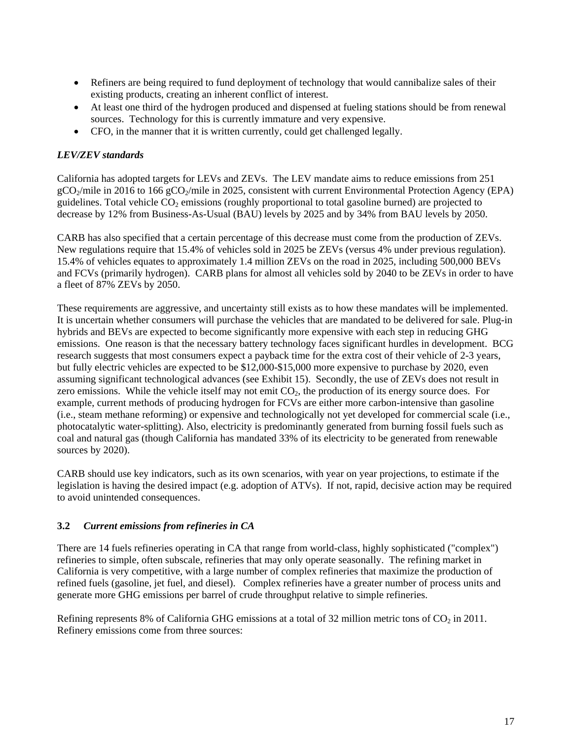- Refiners are being required to fund deployment of technology that would cannibalize sales of their existing products, creating an inherent conflict of interest.
- At least one third of the hydrogen produced and dispensed at fueling stations should be from renewal sources. Technology for this is currently immature and very expensive.
- CFO, in the manner that it is written currently, could get challenged legally.

### *LEV/ZEV standards*

California has adopted targets for LEVs and ZEVs. The LEV mandate aims to reduce emissions from 251  $gCO<sub>2</sub>/mile$  in 2016 to 166  $gCO<sub>2</sub>/mile$  in 2025, consistent with current Environmental Protection Agency (EPA) guidelines. Total vehicle  $CO<sub>2</sub>$  emissions (roughly proportional to total gasoline burned) are projected to decrease by 12% from Business-As-Usual (BAU) levels by 2025 and by 34% from BAU levels by 2050.

CARB has also specified that a certain percentage of this decrease must come from the production of ZEVs. New regulations require that 15.4% of vehicles sold in 2025 be ZEVs (versus 4% under previous regulation). 15.4% of vehicles equates to approximately 1.4 million ZEVs on the road in 2025, including 500,000 BEVs and FCVs (primarily hydrogen). CARB plans for almost all vehicles sold by 2040 to be ZEVs in order to have a fleet of 87% ZEVs by 2050.

These requirements are aggressive, and uncertainty still exists as to how these mandates will be implemented. It is uncertain whether consumers will purchase the vehicles that are mandated to be delivered for sale. Plug-in hybrids and BEVs are expected to become significantly more expensive with each step in reducing GHG emissions. One reason is that the necessary battery technology faces significant hurdles in development. BCG research suggests that most consumers expect a payback time for the extra cost of their vehicle of 2-3 years, but fully electric vehicles are expected to be \$12,000-\$15,000 more expensive to purchase by 2020, even assuming significant technological advances (see Exhibit 15). Secondly, the use of ZEVs does not result in zero emissions. While the vehicle itself may not emit  $CO<sub>2</sub>$ , the production of its energy source does. For example, current methods of producing hydrogen for FCVs are either more carbon-intensive than gasoline (i.e., steam methane reforming) or expensive and technologically not yet developed for commercial scale (i.e., photocatalytic water-splitting). Also, electricity is predominantly generated from burning fossil fuels such as coal and natural gas (though California has mandated 33% of its electricity to be generated from renewable sources by 2020).

CARB should use key indicators, such as its own scenarios, with year on year projections, to estimate if the legislation is having the desired impact (e.g. adoption of ATVs). If not, rapid, decisive action may be required to avoid unintended consequences.

### **3.2** *Current emissions from refineries in CA*

There are 14 fuels refineries operating in CA that range from world-class, highly sophisticated ("complex") refineries to simple, often subscale, refineries that may only operate seasonally. The refining market in California is very competitive, with a large number of complex refineries that maximize the production of refined fuels (gasoline, jet fuel, and diesel). Complex refineries have a greater number of process units and generate more GHG emissions per barrel of crude throughput relative to simple refineries.

Refining represents 8% of California GHG emissions at a total of 32 million metric tons of  $CO<sub>2</sub>$  in 2011. Refinery emissions come from three sources: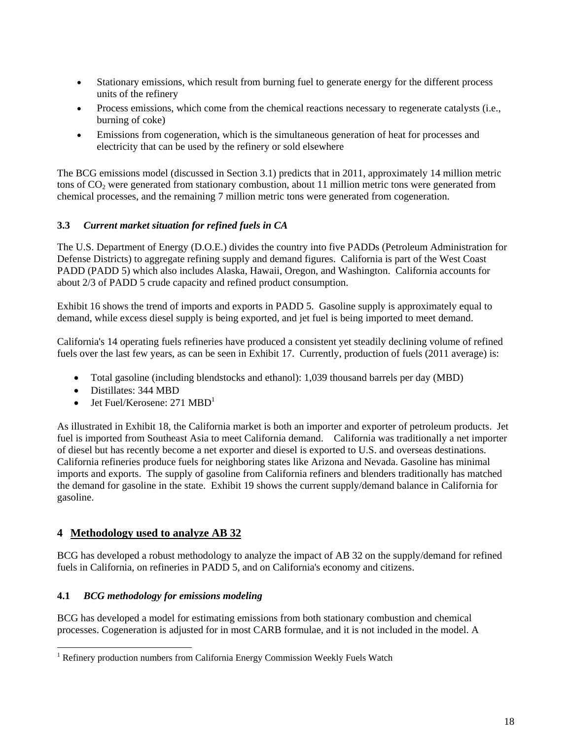- Stationary emissions, which result from burning fuel to generate energy for the different process units of the refinery
- Process emissions, which come from the chemical reactions necessary to regenerate catalysts (i.e., burning of coke)
- Emissions from cogeneration, which is the simultaneous generation of heat for processes and electricity that can be used by the refinery or sold elsewhere

The BCG emissions model (discussed in Section 3.1) predicts that in 2011, approximately 14 million metric tons of CO<sub>2</sub> were generated from stationary combustion, about 11 million metric tons were generated from chemical processes, and the remaining 7 million metric tons were generated from cogeneration.

### **3.3** *Current market situation for refined fuels in CA*

The U.S. Department of Energy (D.O.E.) divides the country into five PADDs (Petroleum Administration for Defense Districts) to aggregate refining supply and demand figures. California is part of the West Coast PADD (PADD 5) which also includes Alaska, Hawaii, Oregon, and Washington. California accounts for about 2/3 of PADD 5 crude capacity and refined product consumption.

Exhibit 16 shows the trend of imports and exports in PADD 5. Gasoline supply is approximately equal to demand, while excess diesel supply is being exported, and jet fuel is being imported to meet demand.

California's 14 operating fuels refineries have produced a consistent yet steadily declining volume of refined fuels over the last few years, as can be seen in Exhibit 17. Currently, production of fuels (2011 average) is:

- Total gasoline (including blendstocks and ethanol): 1,039 thousand barrels per day (MBD)
- Distillates: 344 MBD
- Jet Fuel/Kerosene:  $271 \text{ MBD}^1$

As illustrated in Exhibit 18, the California market is both an importer and exporter of petroleum products. Jet fuel is imported from Southeast Asia to meet California demand. California was traditionally a net importer of diesel but has recently become a net exporter and diesel is exported to U.S. and overseas destinations. California refineries produce fuels for neighboring states like Arizona and Nevada. Gasoline has minimal imports and exports. The supply of gasoline from California refiners and blenders traditionally has matched the demand for gasoline in the state. Exhibit 19 shows the current supply/demand balance in California for gasoline.

### **4 Methodology used to analyze AB 32**

BCG has developed a robust methodology to analyze the impact of AB 32 on the supply/demand for refined fuels in California, on refineries in PADD 5, and on California's economy and citizens.

### **4.1** *BCG methodology for emissions modeling*

BCG has developed a model for estimating emissions from both stationary combustion and chemical processes. Cogeneration is adjusted for in most CARB formulae, and it is not included in the model. A

<sup>&</sup>lt;sup>1</sup> Refinery production numbers from California Energy Commission Weekly Fuels Watch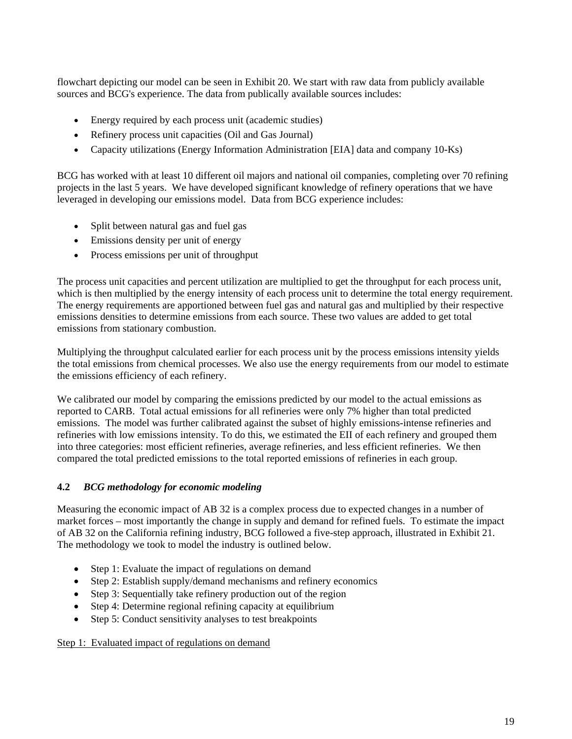flowchart depicting our model can be seen in Exhibit 20. We start with raw data from publicly available sources and BCG's experience. The data from publically available sources includes:

- Energy required by each process unit (academic studies)
- Refinery process unit capacities (Oil and Gas Journal)
- Capacity utilizations (Energy Information Administration [EIA] data and company 10-Ks)

BCG has worked with at least 10 different oil majors and national oil companies, completing over 70 refining projects in the last 5 years. We have developed significant knowledge of refinery operations that we have leveraged in developing our emissions model. Data from BCG experience includes:

- Split between natural gas and fuel gas
- Emissions density per unit of energy
- Process emissions per unit of throughput

The process unit capacities and percent utilization are multiplied to get the throughput for each process unit, which is then multiplied by the energy intensity of each process unit to determine the total energy requirement. The energy requirements are apportioned between fuel gas and natural gas and multiplied by their respective emissions densities to determine emissions from each source. These two values are added to get total emissions from stationary combustion.

Multiplying the throughput calculated earlier for each process unit by the process emissions intensity yields the total emissions from chemical processes. We also use the energy requirements from our model to estimate the emissions efficiency of each refinery.

We calibrated our model by comparing the emissions predicted by our model to the actual emissions as reported to CARB. Total actual emissions for all refineries were only 7% higher than total predicted emissions. The model was further calibrated against the subset of highly emissions-intense refineries and refineries with low emissions intensity. To do this, we estimated the EII of each refinery and grouped them into three categories: most efficient refineries, average refineries, and less efficient refineries. We then compared the total predicted emissions to the total reported emissions of refineries in each group.

### **4.2** *BCG methodology for economic modeling*

Measuring the economic impact of AB 32 is a complex process due to expected changes in a number of market forces – most importantly the change in supply and demand for refined fuels. To estimate the impact of AB 32 on the California refining industry, BCG followed a five-step approach, illustrated in Exhibit 21. The methodology we took to model the industry is outlined below.

- Step 1: Evaluate the impact of regulations on demand
- Step 2: Establish supply/demand mechanisms and refinery economics
- Step 3: Sequentially take refinery production out of the region
- Step 4: Determine regional refining capacity at equilibrium
- Step 5: Conduct sensitivity analyses to test breakpoints

#### Step 1: Evaluated impact of regulations on demand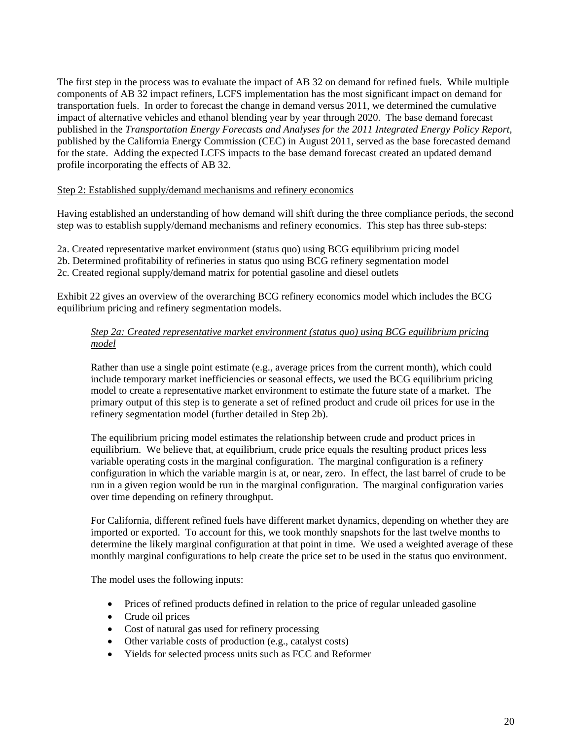The first step in the process was to evaluate the impact of AB 32 on demand for refined fuels. While multiple components of AB 32 impact refiners, LCFS implementation has the most significant impact on demand for transportation fuels. In order to forecast the change in demand versus 2011, we determined the cumulative impact of alternative vehicles and ethanol blending year by year through 2020. The base demand forecast published in the *Transportation Energy Forecasts and Analyses for the 2011 Integrated Energy Policy Report,* published by the California Energy Commission (CEC) in August 2011, served as the base forecasted demand for the state. Adding the expected LCFS impacts to the base demand forecast created an updated demand profile incorporating the effects of AB 32.

#### Step 2: Established supply/demand mechanisms and refinery economics

Having established an understanding of how demand will shift during the three compliance periods, the second step was to establish supply/demand mechanisms and refinery economics. This step has three sub-steps:

2a. Created representative market environment (status quo) using BCG equilibrium pricing model

2b. Determined profitability of refineries in status quo using BCG refinery segmentation model

2c. Created regional supply/demand matrix for potential gasoline and diesel outlets

Exhibit 22 gives an overview of the overarching BCG refinery economics model which includes the BCG equilibrium pricing and refinery segmentation models.

### *Step 2a: Created representative market environment (status quo) using BCG equilibrium pricing model*

Rather than use a single point estimate (e.g., average prices from the current month), which could include temporary market inefficiencies or seasonal effects, we used the BCG equilibrium pricing model to create a representative market environment to estimate the future state of a market. The primary output of this step is to generate a set of refined product and crude oil prices for use in the refinery segmentation model (further detailed in Step 2b).

The equilibrium pricing model estimates the relationship between crude and product prices in equilibrium. We believe that, at equilibrium, crude price equals the resulting product prices less variable operating costs in the marginal configuration. The marginal configuration is a refinery configuration in which the variable margin is at, or near, zero. In effect, the last barrel of crude to be run in a given region would be run in the marginal configuration. The marginal configuration varies over time depending on refinery throughput.

For California, different refined fuels have different market dynamics, depending on whether they are imported or exported. To account for this, we took monthly snapshots for the last twelve months to determine the likely marginal configuration at that point in time. We used a weighted average of these monthly marginal configurations to help create the price set to be used in the status quo environment.

The model uses the following inputs:

- Prices of refined products defined in relation to the price of regular unleaded gasoline
- Crude oil prices
- Cost of natural gas used for refinery processing
- Other variable costs of production (e.g., catalyst costs)
- Yields for selected process units such as FCC and Reformer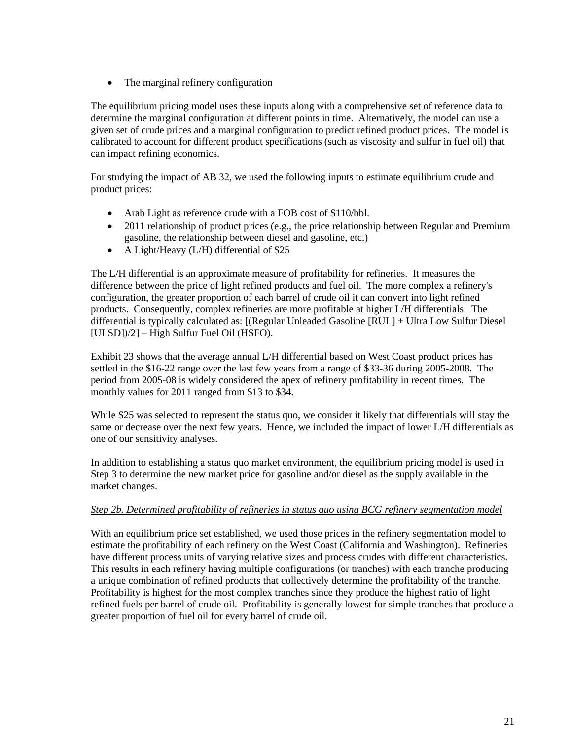• The marginal refinery configuration

The equilibrium pricing model uses these inputs along with a comprehensive set of reference data to determine the marginal configuration at different points in time. Alternatively, the model can use a given set of crude prices and a marginal configuration to predict refined product prices. The model is calibrated to account for different product specifications (such as viscosity and sulfur in fuel oil) that can impact refining economics.

For studying the impact of AB 32, we used the following inputs to estimate equilibrium crude and product prices:

- Arab Light as reference crude with a FOB cost of \$110/bbl.
- 2011 relationship of product prices (e.g., the price relationship between Regular and Premium gasoline, the relationship between diesel and gasoline, etc.)
- A Light/Heavy (L/H) differential of \$25

The L/H differential is an approximate measure of profitability for refineries. It measures the difference between the price of light refined products and fuel oil. The more complex a refinery's configuration, the greater proportion of each barrel of crude oil it can convert into light refined products. Consequently, complex refineries are more profitable at higher L/H differentials. The differential is typically calculated as: [(Regular Unleaded Gasoline [RUL] + Ultra Low Sulfur Diesel [ULSD])/2] – High Sulfur Fuel Oil (HSFO).

Exhibit 23 shows that the average annual L/H differential based on West Coast product prices has settled in the \$16-22 range over the last few years from a range of \$33-36 during 2005-2008. The period from 2005-08 is widely considered the apex of refinery profitability in recent times. The monthly values for 2011 ranged from \$13 to \$34.

While \$25 was selected to represent the status quo, we consider it likely that differentials will stay the same or decrease over the next few years. Hence, we included the impact of lower L/H differentials as one of our sensitivity analyses.

In addition to establishing a status quo market environment, the equilibrium pricing model is used in Step 3 to determine the new market price for gasoline and/or diesel as the supply available in the market changes.

#### *Step 2b. Determined profitability of refineries in status quo using BCG refinery segmentation model*

With an equilibrium price set established, we used those prices in the refinery segmentation model to estimate the profitability of each refinery on the West Coast (California and Washington). Refineries have different process units of varying relative sizes and process crudes with different characteristics. This results in each refinery having multiple configurations (or tranches) with each tranche producing a unique combination of refined products that collectively determine the profitability of the tranche. Profitability is highest for the most complex tranches since they produce the highest ratio of light refined fuels per barrel of crude oil. Profitability is generally lowest for simple tranches that produce a greater proportion of fuel oil for every barrel of crude oil.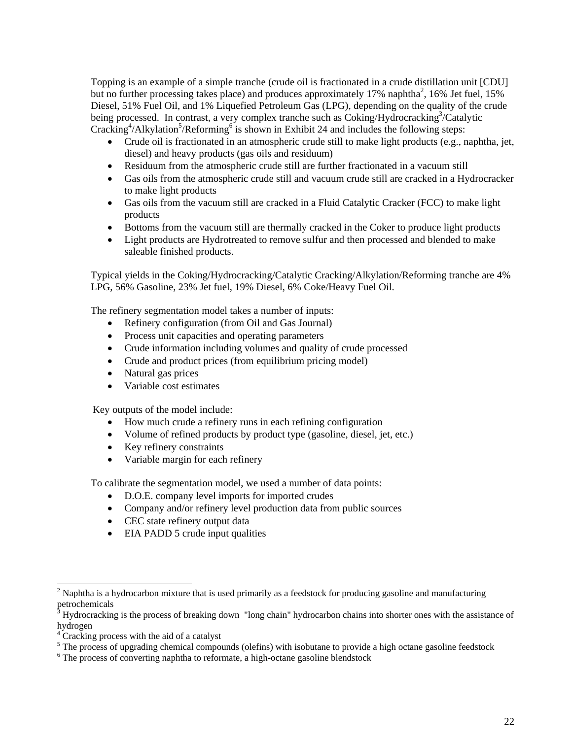Topping is an example of a simple tranche (crude oil is fractionated in a crude distillation unit [CDU] but no further processing takes place) and produces approximately 17% naphtha<sup>2</sup>, 16% Jet fuel, 15% Diesel, 51% Fuel Oil, and 1% Liquefied Petroleum Gas (LPG), depending on the quality of the crude being processed. In contrast, a very complex tranche such as Coking/Hydrocracking<sup>3</sup>/Catalytic Cracking<sup>4</sup>/Alkylation<sup>5</sup>/Reforming<sup>6</sup> is shown in Exhibit 24 and includes the following steps:

- Crude oil is fractionated in an atmospheric crude still to make light products (e.g., naphtha, jet, diesel) and heavy products (gas oils and residuum)
- Residuum from the atmospheric crude still are further fractionated in a vacuum still
- Gas oils from the atmospheric crude still and vacuum crude still are cracked in a Hydrocracker to make light products
- Gas oils from the vacuum still are cracked in a Fluid Catalytic Cracker (FCC) to make light products
- Bottoms from the vacuum still are thermally cracked in the Coker to produce light products
- Light products are Hydrotreated to remove sulfur and then processed and blended to make saleable finished products.

Typical yields in the Coking/Hydrocracking/Catalytic Cracking/Alkylation/Reforming tranche are 4% LPG, 56% Gasoline, 23% Jet fuel, 19% Diesel, 6% Coke/Heavy Fuel Oil.

The refinery segmentation model takes a number of inputs:

- Refinery configuration (from Oil and Gas Journal)
- Process unit capacities and operating parameters
- Crude information including volumes and quality of crude processed
- Crude and product prices (from equilibrium pricing model)
- Natural gas prices
- Variable cost estimates

Key outputs of the model include:

- How much crude a refinery runs in each refining configuration
- Volume of refined products by product type (gasoline, diesel, jet, etc.)
- Key refinery constraints
- Variable margin for each refinery

To calibrate the segmentation model, we used a number of data points:

- D.O.E. company level imports for imported crudes
- Company and/or refinery level production data from public sources
- CEC state refinery output data
- EIA PADD 5 crude input qualities

<sup>&</sup>lt;sup>2</sup> Naphtha is a hydrocarbon mixture that is used primarily as a feedstock for producing gasoline and manufacturing petrochemicals<br><sup>3</sup> Hydrographine

Hydrocracking is the process of breaking down "long chain" hydrocarbon chains into shorter ones with the assistance of hydrogen

<sup>&</sup>lt;sup>4</sup> Cracking process with the aid of a catalyst

<sup>&</sup>lt;sup>5</sup> The process of upgrading chemical compounds (olefins) with isobutane to provide a high octane gasoline feedstock

<sup>&</sup>lt;sup>6</sup> The process of converting naphtha to reformate, a high-octane gasoline blendstock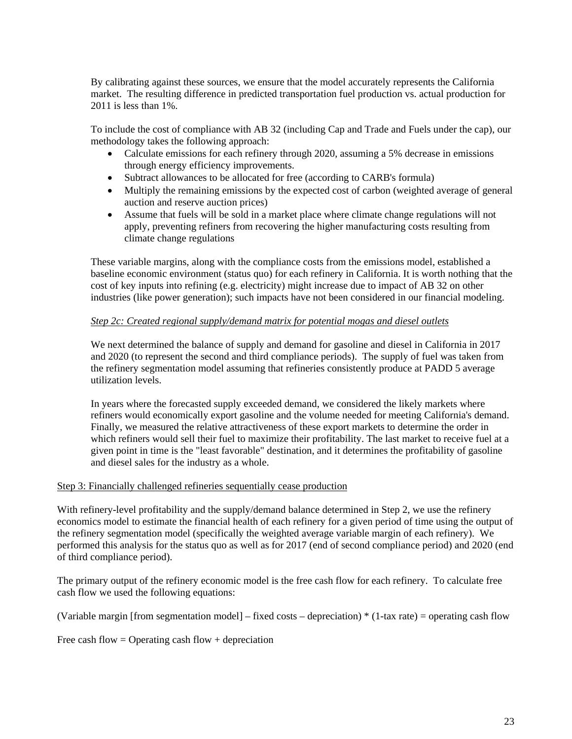By calibrating against these sources, we ensure that the model accurately represents the California market. The resulting difference in predicted transportation fuel production vs. actual production for 2011 is less than 1%.

To include the cost of compliance with AB 32 (including Cap and Trade and Fuels under the cap), our methodology takes the following approach:

- Calculate emissions for each refinery through 2020, assuming a 5% decrease in emissions through energy efficiency improvements.
- Subtract allowances to be allocated for free (according to CARB's formula)
- Multiply the remaining emissions by the expected cost of carbon (weighted average of general auction and reserve auction prices)
- Assume that fuels will be sold in a market place where climate change regulations will not apply, preventing refiners from recovering the higher manufacturing costs resulting from climate change regulations

These variable margins, along with the compliance costs from the emissions model, established a baseline economic environment (status quo) for each refinery in California. It is worth nothing that the cost of key inputs into refining (e.g. electricity) might increase due to impact of AB 32 on other industries (like power generation); such impacts have not been considered in our financial modeling.

### *Step 2c: Created regional supply/demand matrix for potential mogas and diesel outlets*

We next determined the balance of supply and demand for gasoline and diesel in California in 2017 and 2020 (to represent the second and third compliance periods). The supply of fuel was taken from the refinery segmentation model assuming that refineries consistently produce at PADD 5 average utilization levels.

In years where the forecasted supply exceeded demand, we considered the likely markets where refiners would economically export gasoline and the volume needed for meeting California's demand. Finally, we measured the relative attractiveness of these export markets to determine the order in which refiners would sell their fuel to maximize their profitability. The last market to receive fuel at a given point in time is the "least favorable" destination, and it determines the profitability of gasoline and diesel sales for the industry as a whole.

#### Step 3: Financially challenged refineries sequentially cease production

With refinery-level profitability and the supply/demand balance determined in Step 2, we use the refinery economics model to estimate the financial health of each refinery for a given period of time using the output of the refinery segmentation model (specifically the weighted average variable margin of each refinery). We performed this analysis for the status quo as well as for 2017 (end of second compliance period) and 2020 (end of third compliance period).

The primary output of the refinery economic model is the free cash flow for each refinery. To calculate free cash flow we used the following equations:

(Variable margin [from segmentation model] – fixed costs – depreciation) \* (1-tax rate) = operating cash flow

Free cash flow  $=$  Operating cash flow  $+$  depreciation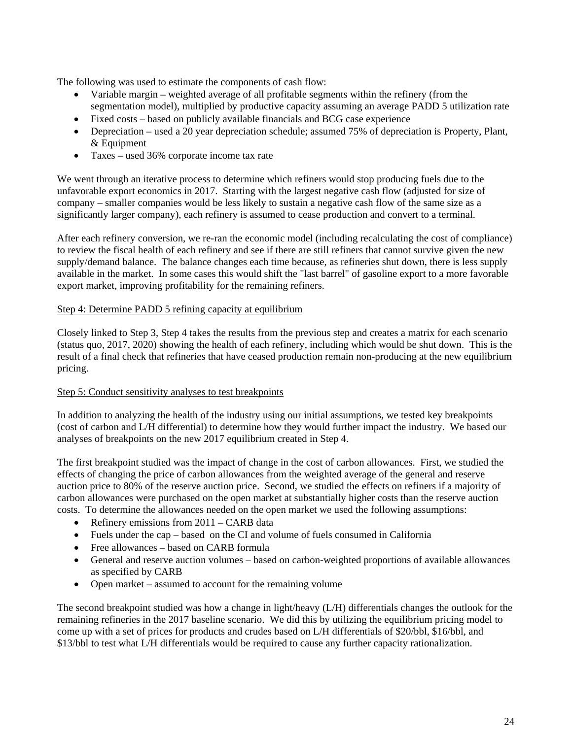The following was used to estimate the components of cash flow:

- Variable margin weighted average of all profitable segments within the refinery (from the segmentation model), multiplied by productive capacity assuming an average PADD 5 utilization rate
- Fixed costs based on publicly available financials and BCG case experience
- Depreciation used a 20 year depreciation schedule; assumed 75% of depreciation is Property, Plant, & Equipment
- Taxes used 36% corporate income tax rate

We went through an iterative process to determine which refiners would stop producing fuels due to the unfavorable export economics in 2017. Starting with the largest negative cash flow (adjusted for size of company – smaller companies would be less likely to sustain a negative cash flow of the same size as a significantly larger company), each refinery is assumed to cease production and convert to a terminal.

After each refinery conversion, we re-ran the economic model (including recalculating the cost of compliance) to review the fiscal health of each refinery and see if there are still refiners that cannot survive given the new supply/demand balance. The balance changes each time because, as refineries shut down, there is less supply available in the market. In some cases this would shift the "last barrel" of gasoline export to a more favorable export market, improving profitability for the remaining refiners.

### Step 4: Determine PADD 5 refining capacity at equilibrium

Closely linked to Step 3, Step 4 takes the results from the previous step and creates a matrix for each scenario (status quo, 2017, 2020) showing the health of each refinery, including which would be shut down. This is the result of a final check that refineries that have ceased production remain non-producing at the new equilibrium pricing.

#### Step 5: Conduct sensitivity analyses to test breakpoints

In addition to analyzing the health of the industry using our initial assumptions, we tested key breakpoints (cost of carbon and L/H differential) to determine how they would further impact the industry. We based our analyses of breakpoints on the new 2017 equilibrium created in Step 4.

The first breakpoint studied was the impact of change in the cost of carbon allowances. First, we studied the effects of changing the price of carbon allowances from the weighted average of the general and reserve auction price to 80% of the reserve auction price. Second, we studied the effects on refiners if a majority of carbon allowances were purchased on the open market at substantially higher costs than the reserve auction costs. To determine the allowances needed on the open market we used the following assumptions:

- Refinery emissions from 2011 CARB data
- Fuels under the cap based on the CI and volume of fuels consumed in California
- Free allowances based on CARB formula
- General and reserve auction volumes based on carbon-weighted proportions of available allowances as specified by CARB
- Open market assumed to account for the remaining volume

The second breakpoint studied was how a change in light/heavy (L/H) differentials changes the outlook for the remaining refineries in the 2017 baseline scenario. We did this by utilizing the equilibrium pricing model to come up with a set of prices for products and crudes based on L/H differentials of \$20/bbl, \$16/bbl, and \$13/bbl to test what L/H differentials would be required to cause any further capacity rationalization.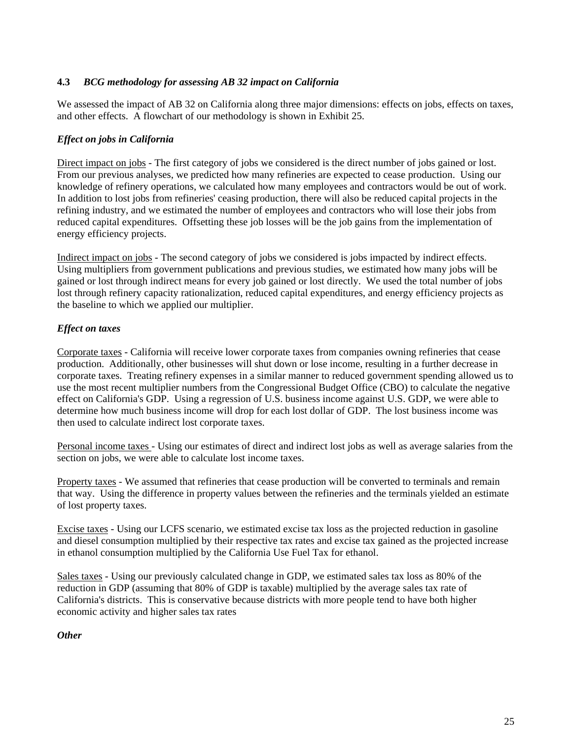### **4.3** *BCG methodology for assessing AB 32 impact on California*

We assessed the impact of AB 32 on California along three major dimensions: effects on jobs, effects on taxes, and other effects. A flowchart of our methodology is shown in Exhibit 25.

### *Effect on jobs in California*

Direct impact on jobs - The first category of jobs we considered is the direct number of jobs gained or lost. From our previous analyses, we predicted how many refineries are expected to cease production. Using our knowledge of refinery operations, we calculated how many employees and contractors would be out of work. In addition to lost jobs from refineries' ceasing production, there will also be reduced capital projects in the refining industry, and we estimated the number of employees and contractors who will lose their jobs from reduced capital expenditures. Offsetting these job losses will be the job gains from the implementation of energy efficiency projects.

Indirect impact on jobs - The second category of jobs we considered is jobs impacted by indirect effects. Using multipliers from government publications and previous studies, we estimated how many jobs will be gained or lost through indirect means for every job gained or lost directly. We used the total number of jobs lost through refinery capacity rationalization, reduced capital expenditures, and energy efficiency projects as the baseline to which we applied our multiplier.

### *Effect on taxes*

Corporate taxes - California will receive lower corporate taxes from companies owning refineries that cease production. Additionally, other businesses will shut down or lose income, resulting in a further decrease in corporate taxes. Treating refinery expenses in a similar manner to reduced government spending allowed us to use the most recent multiplier numbers from the Congressional Budget Office (CBO) to calculate the negative effect on California's GDP. Using a regression of U.S. business income against U.S. GDP, we were able to determine how much business income will drop for each lost dollar of GDP. The lost business income was then used to calculate indirect lost corporate taxes.

Personal income taxes - Using our estimates of direct and indirect lost jobs as well as average salaries from the section on jobs, we were able to calculate lost income taxes.

Property taxes - We assumed that refineries that cease production will be converted to terminals and remain that way. Using the difference in property values between the refineries and the terminals yielded an estimate of lost property taxes.

Excise taxes - Using our LCFS scenario, we estimated excise tax loss as the projected reduction in gasoline and diesel consumption multiplied by their respective tax rates and excise tax gained as the projected increase in ethanol consumption multiplied by the California Use Fuel Tax for ethanol.

Sales taxes - Using our previously calculated change in GDP, we estimated sales tax loss as 80% of the reduction in GDP (assuming that 80% of GDP is taxable) multiplied by the average sales tax rate of California's districts. This is conservative because districts with more people tend to have both higher economic activity and higher sales tax rates

### *Other*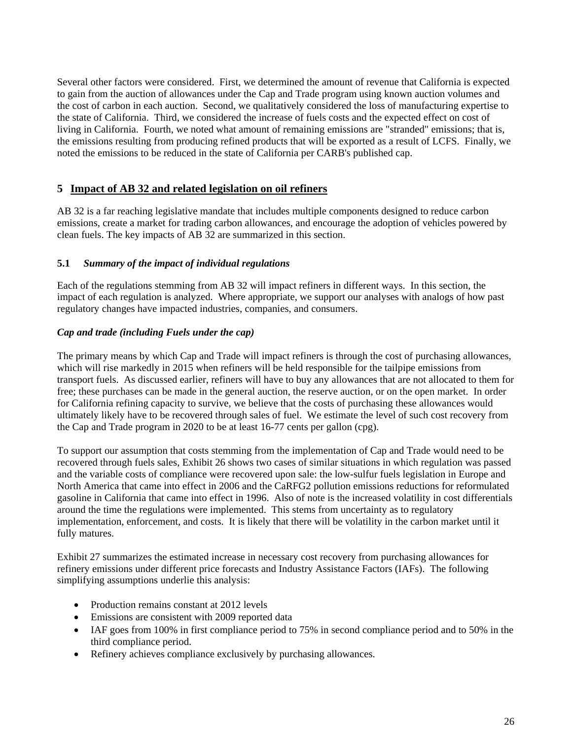Several other factors were considered. First, we determined the amount of revenue that California is expected to gain from the auction of allowances under the Cap and Trade program using known auction volumes and the cost of carbon in each auction. Second, we qualitatively considered the loss of manufacturing expertise to the state of California. Third, we considered the increase of fuels costs and the expected effect on cost of living in California. Fourth, we noted what amount of remaining emissions are "stranded" emissions; that is, the emissions resulting from producing refined products that will be exported as a result of LCFS. Finally, we noted the emissions to be reduced in the state of California per CARB's published cap.

### **5 Impact of AB 32 and related legislation on oil refiners**

AB 32 is a far reaching legislative mandate that includes multiple components designed to reduce carbon emissions, create a market for trading carbon allowances, and encourage the adoption of vehicles powered by clean fuels. The key impacts of AB 32 are summarized in this section.

### **5.1** *Summary of the impact of individual regulations*

Each of the regulations stemming from AB 32 will impact refiners in different ways. In this section, the impact of each regulation is analyzed. Where appropriate, we support our analyses with analogs of how past regulatory changes have impacted industries, companies, and consumers.

### *Cap and trade (including Fuels under the cap)*

The primary means by which Cap and Trade will impact refiners is through the cost of purchasing allowances, which will rise markedly in 2015 when refiners will be held responsible for the tailpipe emissions from transport fuels. As discussed earlier, refiners will have to buy any allowances that are not allocated to them for free; these purchases can be made in the general auction, the reserve auction, or on the open market. In order for California refining capacity to survive, we believe that the costs of purchasing these allowances would ultimately likely have to be recovered through sales of fuel. We estimate the level of such cost recovery from the Cap and Trade program in 2020 to be at least 16-77 cents per gallon (cpg).

To support our assumption that costs stemming from the implementation of Cap and Trade would need to be recovered through fuels sales, Exhibit 26 shows two cases of similar situations in which regulation was passed and the variable costs of compliance were recovered upon sale: the low-sulfur fuels legislation in Europe and North America that came into effect in 2006 and the CaRFG2 pollution emissions reductions for reformulated gasoline in California that came into effect in 1996. Also of note is the increased volatility in cost differentials around the time the regulations were implemented. This stems from uncertainty as to regulatory implementation, enforcement, and costs. It is likely that there will be volatility in the carbon market until it fully matures.

Exhibit 27 summarizes the estimated increase in necessary cost recovery from purchasing allowances for refinery emissions under different price forecasts and Industry Assistance Factors (IAFs). The following simplifying assumptions underlie this analysis:

- Production remains constant at 2012 levels
- Emissions are consistent with 2009 reported data
- IAF goes from 100% in first compliance period to 75% in second compliance period and to 50% in the third compliance period.
- Refinery achieves compliance exclusively by purchasing allowances.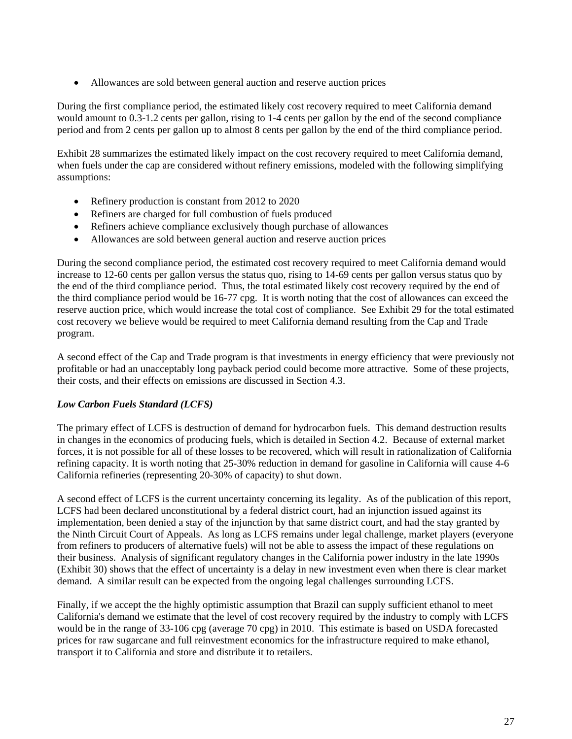Allowances are sold between general auction and reserve auction prices

During the first compliance period, the estimated likely cost recovery required to meet California demand would amount to 0.3-1.2 cents per gallon, rising to 1-4 cents per gallon by the end of the second compliance period and from 2 cents per gallon up to almost 8 cents per gallon by the end of the third compliance period.

Exhibit 28 summarizes the estimated likely impact on the cost recovery required to meet California demand, when fuels under the cap are considered without refinery emissions, modeled with the following simplifying assumptions:

- Refinery production is constant from 2012 to 2020
- Refiners are charged for full combustion of fuels produced
- Refiners achieve compliance exclusively though purchase of allowances
- Allowances are sold between general auction and reserve auction prices

During the second compliance period, the estimated cost recovery required to meet California demand would increase to 12-60 cents per gallon versus the status quo, rising to 14-69 cents per gallon versus status quo by the end of the third compliance period. Thus, the total estimated likely cost recovery required by the end of the third compliance period would be 16-77 cpg. It is worth noting that the cost of allowances can exceed the reserve auction price, which would increase the total cost of compliance. See Exhibit 29 for the total estimated cost recovery we believe would be required to meet California demand resulting from the Cap and Trade program.

A second effect of the Cap and Trade program is that investments in energy efficiency that were previously not profitable or had an unacceptably long payback period could become more attractive. Some of these projects, their costs, and their effects on emissions are discussed in Section 4.3.

### *Low Carbon Fuels Standard (LCFS)*

The primary effect of LCFS is destruction of demand for hydrocarbon fuels. This demand destruction results in changes in the economics of producing fuels, which is detailed in Section 4.2. Because of external market forces, it is not possible for all of these losses to be recovered, which will result in rationalization of California refining capacity. It is worth noting that 25-30% reduction in demand for gasoline in California will cause 4-6 California refineries (representing 20-30% of capacity) to shut down.

A second effect of LCFS is the current uncertainty concerning its legality. As of the publication of this report, LCFS had been declared unconstitutional by a federal district court, had an injunction issued against its implementation, been denied a stay of the injunction by that same district court, and had the stay granted by the Ninth Circuit Court of Appeals. As long as LCFS remains under legal challenge, market players (everyone from refiners to producers of alternative fuels) will not be able to assess the impact of these regulations on their business. Analysis of significant regulatory changes in the California power industry in the late 1990s (Exhibit 30) shows that the effect of uncertainty is a delay in new investment even when there is clear market demand. A similar result can be expected from the ongoing legal challenges surrounding LCFS.

Finally, if we accept the the highly optimistic assumption that Brazil can supply sufficient ethanol to meet California's demand we estimate that the level of cost recovery required by the industry to comply with LCFS would be in the range of 33-106 cpg (average 70 cpg) in 2010. This estimate is based on USDA forecasted prices for raw sugarcane and full reinvestment economics for the infrastructure required to make ethanol, transport it to California and store and distribute it to retailers.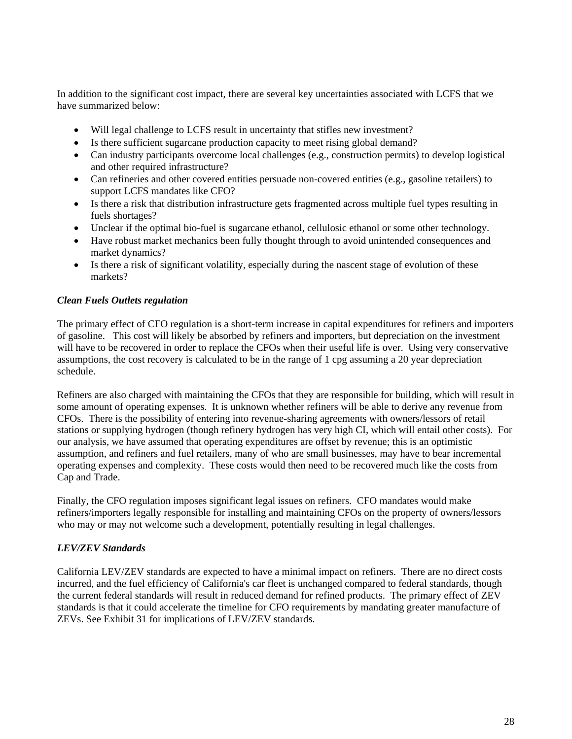In addition to the significant cost impact, there are several key uncertainties associated with LCFS that we have summarized below:

- Will legal challenge to LCFS result in uncertainty that stifles new investment?
- Is there sufficient sugarcane production capacity to meet rising global demand?
- Can industry participants overcome local challenges (e.g., construction permits) to develop logistical and other required infrastructure?
- Can refineries and other covered entities persuade non-covered entities (e.g., gasoline retailers) to support LCFS mandates like CFO?
- Is there a risk that distribution infrastructure gets fragmented across multiple fuel types resulting in fuels shortages?
- Unclear if the optimal bio-fuel is sugarcane ethanol, cellulosic ethanol or some other technology.
- Have robust market mechanics been fully thought through to avoid unintended consequences and market dynamics?
- Is there a risk of significant volatility, especially during the nascent stage of evolution of these markets?

### *Clean Fuels Outlets regulation*

The primary effect of CFO regulation is a short-term increase in capital expenditures for refiners and importers of gasoline. This cost will likely be absorbed by refiners and importers, but depreciation on the investment will have to be recovered in order to replace the CFOs when their useful life is over. Using very conservative assumptions, the cost recovery is calculated to be in the range of 1 cpg assuming a 20 year depreciation schedule.

Refiners are also charged with maintaining the CFOs that they are responsible for building, which will result in some amount of operating expenses. It is unknown whether refiners will be able to derive any revenue from CFOs. There is the possibility of entering into revenue-sharing agreements with owners/lessors of retail stations or supplying hydrogen (though refinery hydrogen has very high CI, which will entail other costs). For our analysis, we have assumed that operating expenditures are offset by revenue; this is an optimistic assumption, and refiners and fuel retailers, many of who are small businesses, may have to bear incremental operating expenses and complexity. These costs would then need to be recovered much like the costs from Cap and Trade.

Finally, the CFO regulation imposes significant legal issues on refiners. CFO mandates would make refiners/importers legally responsible for installing and maintaining CFOs on the property of owners/lessors who may or may not welcome such a development, potentially resulting in legal challenges.

### *LEV/ZEV Standards*

California LEV/ZEV standards are expected to have a minimal impact on refiners. There are no direct costs incurred, and the fuel efficiency of California's car fleet is unchanged compared to federal standards, though the current federal standards will result in reduced demand for refined products. The primary effect of ZEV standards is that it could accelerate the timeline for CFO requirements by mandating greater manufacture of ZEVs. See Exhibit 31 for implications of LEV/ZEV standards.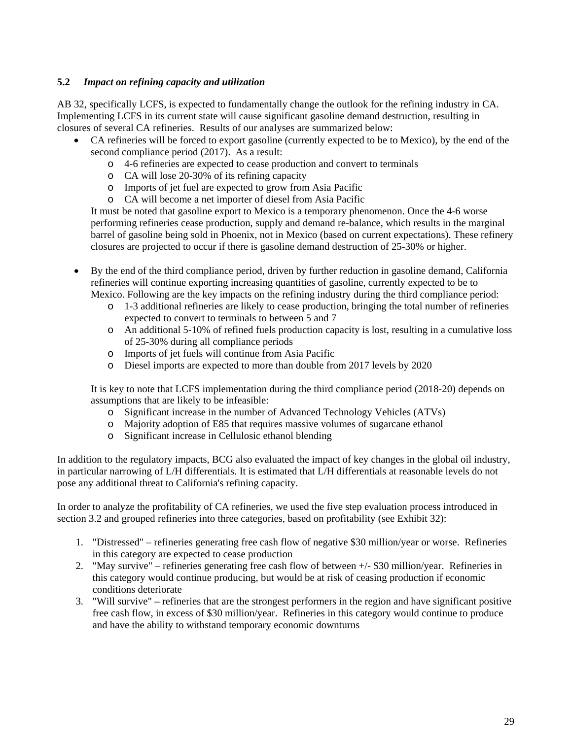### **5.2** *Impact on refining capacity and utilization*

AB 32, specifically LCFS, is expected to fundamentally change the outlook for the refining industry in CA. Implementing LCFS in its current state will cause significant gasoline demand destruction, resulting in closures of several CA refineries. Results of our analyses are summarized below:

- CA refineries will be forced to export gasoline (currently expected to be to Mexico), by the end of the second compliance period (2017). As a result:
	- o 4-6 refineries are expected to cease production and convert to terminals
	- o CA will lose 20-30% of its refining capacity
	- o Imports of jet fuel are expected to grow from Asia Pacific
	- o CA will become a net importer of diesel from Asia Pacific

It must be noted that gasoline export to Mexico is a temporary phenomenon. Once the 4-6 worse performing refineries cease production, supply and demand re-balance, which results in the marginal barrel of gasoline being sold in Phoenix, not in Mexico (based on current expectations). These refinery closures are projected to occur if there is gasoline demand destruction of 25-30% or higher.

- By the end of the third compliance period, driven by further reduction in gasoline demand, California refineries will continue exporting increasing quantities of gasoline, currently expected to be to Mexico. Following are the key impacts on the refining industry during the third compliance period:
	- o 1-3 additional refineries are likely to cease production, bringing the total number of refineries expected to convert to terminals to between 5 and 7
	- o An additional 5-10% of refined fuels production capacity is lost, resulting in a cumulative loss of 25-30% during all compliance periods
	- o Imports of jet fuels will continue from Asia Pacific
	- o Diesel imports are expected to more than double from 2017 levels by 2020

It is key to note that LCFS implementation during the third compliance period (2018-20) depends on assumptions that are likely to be infeasible:

- o Significant increase in the number of Advanced Technology Vehicles (ATVs)
- o Majority adoption of E85 that requires massive volumes of sugarcane ethanol
- o Significant increase in Cellulosic ethanol blending

In addition to the regulatory impacts, BCG also evaluated the impact of key changes in the global oil industry, in particular narrowing of L/H differentials. It is estimated that L/H differentials at reasonable levels do not pose any additional threat to California's refining capacity.

In order to analyze the profitability of CA refineries, we used the five step evaluation process introduced in section 3.2 and grouped refineries into three categories, based on profitability (see Exhibit 32):

- 1. "Distressed" refineries generating free cash flow of negative \$30 million/year or worse. Refineries in this category are expected to cease production
- 2. "May survive" refineries generating free cash flow of between +/- \$30 million/year. Refineries in this category would continue producing, but would be at risk of ceasing production if economic conditions deteriorate
- 3. "Will survive" refineries that are the strongest performers in the region and have significant positive free cash flow, in excess of \$30 million/year. Refineries in this category would continue to produce and have the ability to withstand temporary economic downturns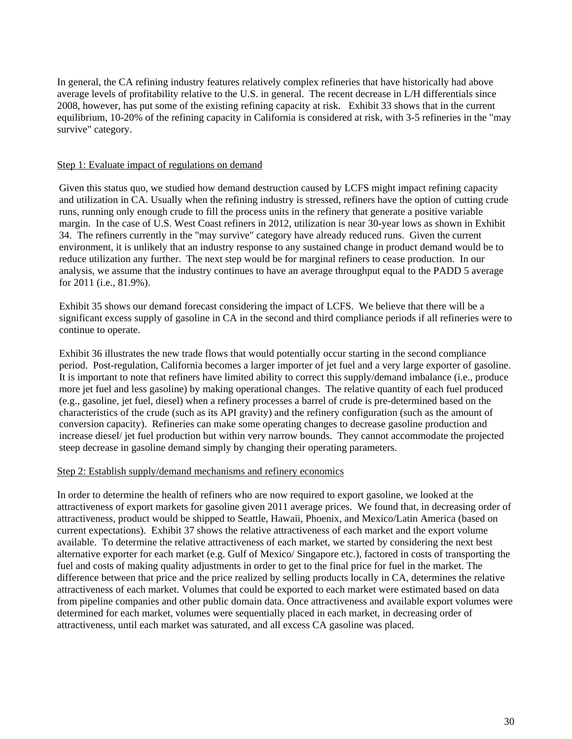In general, the CA refining industry features relatively complex refineries that have historically had above average levels of profitability relative to the U.S. in general. The recent decrease in L/H differentials since 2008, however, has put some of the existing refining capacity at risk. Exhibit 33 shows that in the current equilibrium, 10-20% of the refining capacity in California is considered at risk, with 3-5 refineries in the "may survive" category.

#### Step 1: Evaluate impact of regulations on demand

Given this status quo, we studied how demand destruction caused by LCFS might impact refining capacity and utilization in CA. Usually when the refining industry is stressed, refiners have the option of cutting crude runs, running only enough crude to fill the process units in the refinery that generate a positive variable margin. In the case of U.S. West Coast refiners in 2012, utilization is near 30-year lows as shown in Exhibit 34. The refiners currently in the "may survive" category have already reduced runs. Given the current environment, it is unlikely that an industry response to any sustained change in product demand would be to reduce utilization any further. The next step would be for marginal refiners to cease production. In our analysis, we assume that the industry continues to have an average throughput equal to the PADD 5 average for 2011 (i.e., 81.9%).

Exhibit 35 shows our demand forecast considering the impact of LCFS. We believe that there will be a significant excess supply of gasoline in CA in the second and third compliance periods if all refineries were to continue to operate.

Exhibit 36 illustrates the new trade flows that would potentially occur starting in the second compliance period. Post-regulation, California becomes a larger importer of jet fuel and a very large exporter of gasoline. It is important to note that refiners have limited ability to correct this supply/demand imbalance (i.e., produce more jet fuel and less gasoline) by making operational changes. The relative quantity of each fuel produced (e.g., gasoline, jet fuel, diesel) when a refinery processes a barrel of crude is pre-determined based on the characteristics of the crude (such as its API gravity) and the refinery configuration (such as the amount of conversion capacity). Refineries can make some operating changes to decrease gasoline production and increase diesel/ jet fuel production but within very narrow bounds. They cannot accommodate the projected steep decrease in gasoline demand simply by changing their operating parameters.

#### Step 2: Establish supply/demand mechanisms and refinery economics

In order to determine the health of refiners who are now required to export gasoline, we looked at the attractiveness of export markets for gasoline given 2011 average prices. We found that, in decreasing order of attractiveness, product would be shipped to Seattle, Hawaii, Phoenix, and Mexico/Latin America (based on current expectations). Exhibit 37 shows the relative attractiveness of each market and the export volume available. To determine the relative attractiveness of each market, we started by considering the next best alternative exporter for each market (e.g. Gulf of Mexico/ Singapore etc.), factored in costs of transporting the fuel and costs of making quality adjustments in order to get to the final price for fuel in the market. The difference between that price and the price realized by selling products locally in CA, determines the relative attractiveness of each market. Volumes that could be exported to each market were estimated based on data from pipeline companies and other public domain data. Once attractiveness and available export volumes were determined for each market, volumes were sequentially placed in each market, in decreasing order of attractiveness, until each market was saturated, and all excess CA gasoline was placed.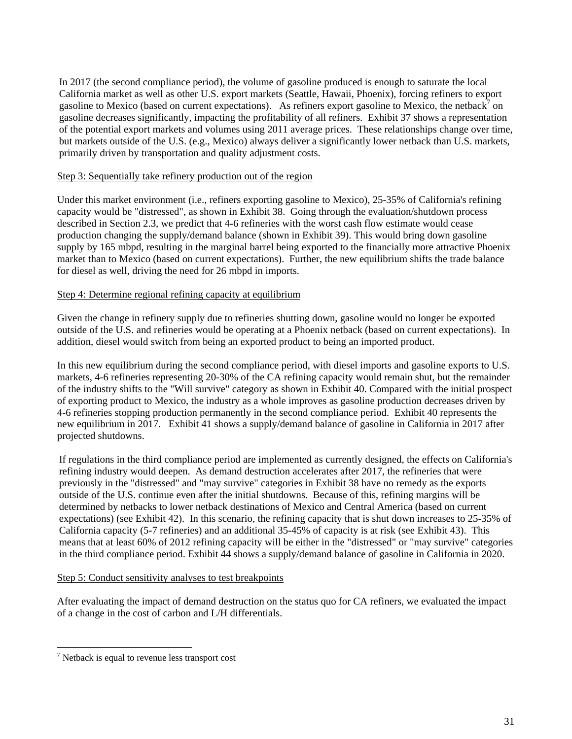In 2017 (the second compliance period), the volume of gasoline produced is enough to saturate the local California market as well as other U.S. export markets (Seattle, Hawaii, Phoenix), forcing refiners to export gasoline to Mexico (based on current expectations). As refiners export gasoline to Mexico, the netback<sup>7</sup> on gasoline decreases significantly, impacting the profitability of all refiners. Exhibit 37 shows a representation of the potential export markets and volumes using 2011 average prices. These relationships change over time, but markets outside of the U.S. (e.g., Mexico) always deliver a significantly lower netback than U.S. markets, primarily driven by transportation and quality adjustment costs.

#### Step 3: Sequentially take refinery production out of the region

Under this market environment (i.e., refiners exporting gasoline to Mexico), 25-35% of California's refining capacity would be "distressed", as shown in Exhibit 38. Going through the evaluation/shutdown process described in Section 2.3, we predict that 4-6 refineries with the worst cash flow estimate would cease production changing the supply/demand balance (shown in Exhibit 39). This would bring down gasoline supply by 165 mbpd, resulting in the marginal barrel being exported to the financially more attractive Phoenix market than to Mexico (based on current expectations). Further, the new equilibrium shifts the trade balance for diesel as well, driving the need for 26 mbpd in imports.

### Step 4: Determine regional refining capacity at equilibrium

Given the change in refinery supply due to refineries shutting down, gasoline would no longer be exported outside of the U.S. and refineries would be operating at a Phoenix netback (based on current expectations). In addition, diesel would switch from being an exported product to being an imported product.

In this new equilibrium during the second compliance period, with diesel imports and gasoline exports to U.S. markets, 4-6 refineries representing 20-30% of the CA refining capacity would remain shut, but the remainder of the industry shifts to the "Will survive" category as shown in Exhibit 40. Compared with the initial prospect of exporting product to Mexico, the industry as a whole improves as gasoline production decreases driven by 4-6 refineries stopping production permanently in the second compliance period. Exhibit 40 represents the new equilibrium in 2017. Exhibit 41 shows a supply/demand balance of gasoline in California in 2017 after projected shutdowns.

If regulations in the third compliance period are implemented as currently designed, the effects on California's refining industry would deepen. As demand destruction accelerates after 2017, the refineries that were previously in the "distressed" and "may survive" categories in Exhibit 38 have no remedy as the exports outside of the U.S. continue even after the initial shutdowns. Because of this, refining margins will be determined by netbacks to lower netback destinations of Mexico and Central America (based on current expectations) (see Exhibit 42). In this scenario, the refining capacity that is shut down increases to 25-35% of California capacity (5-7 refineries) and an additional 35-45% of capacity is at risk (see Exhibit 43). This means that at least 60% of 2012 refining capacity will be either in the "distressed" or "may survive" categories in the third compliance period. Exhibit 44 shows a supply/demand balance of gasoline in California in 2020.

#### Step 5: Conduct sensitivity analyses to test breakpoints

After evaluating the impact of demand destruction on the status quo for CA refiners, we evaluated the impact of a change in the cost of carbon and L/H differentials.

 $\overline{a}$  Netback is equal to revenue less transport cost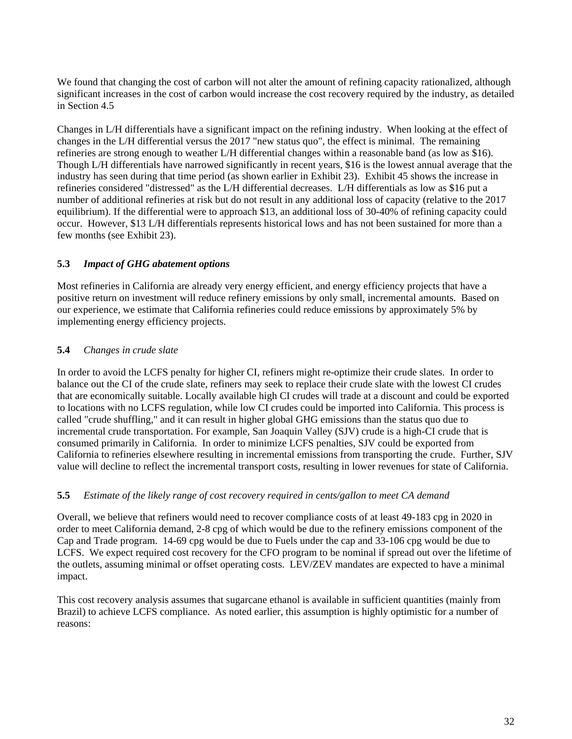We found that changing the cost of carbon will not alter the amount of refining capacity rationalized, although significant increases in the cost of carbon would increase the cost recovery required by the industry, as detailed in Section 4.5

Changes in L/H differentials have a significant impact on the refining industry. When looking at the effect of changes in the L/H differential versus the 2017 "new status quo", the effect is minimal. The remaining refineries are strong enough to weather L/H differential changes within a reasonable band (as low as \$16). Though L/H differentials have narrowed significantly in recent years, \$16 is the lowest annual average that the industry has seen during that time period (as shown earlier in Exhibit 23). Exhibit 45 shows the increase in refineries considered "distressed" as the L/H differential decreases. L/H differentials as low as \$16 put a number of additional refineries at risk but do not result in any additional loss of capacity (relative to the 2017 equilibrium). If the differential were to approach \$13, an additional loss of 30-40% of refining capacity could occur. However, \$13 L/H differentials represents historical lows and has not been sustained for more than a few months (see Exhibit 23).

### **5.3** *Impact of GHG abatement options*

Most refineries in California are already very energy efficient, and energy efficiency projects that have a positive return on investment will reduce refinery emissions by only small, incremental amounts. Based on our experience, we estimate that California refineries could reduce emissions by approximately 5% by implementing energy efficiency projects.

### **5.4** *Changes in crude slate*

In order to avoid the LCFS penalty for higher CI, refiners might re-optimize their crude slates. In order to balance out the CI of the crude slate, refiners may seek to replace their crude slate with the lowest CI crudes that are economically suitable. Locally available high CI crudes will trade at a discount and could be exported to locations with no LCFS regulation, while low CI crudes could be imported into California. This process is called "crude shuffling," and it can result in higher global GHG emissions than the status quo due to incremental crude transportation. For example, San Joaquin Valley (SJV) crude is a high-CI crude that is consumed primarily in California. In order to minimize LCFS penalties, SJV could be exported from California to refineries elsewhere resulting in incremental emissions from transporting the crude. Further, SJV value will decline to reflect the incremental transport costs, resulting in lower revenues for state of California.

### **5.5** *Estimate of the likely range of cost recovery required in cents/gallon to meet CA demand*

Overall, we believe that refiners would need to recover compliance costs of at least 49-183 cpg in 2020 in order to meet California demand, 2-8 cpg of which would be due to the refinery emissions component of the Cap and Trade program. 14-69 cpg would be due to Fuels under the cap and 33-106 cpg would be due to LCFS. We expect required cost recovery for the CFO program to be nominal if spread out over the lifetime of the outlets, assuming minimal or offset operating costs. LEV/ZEV mandates are expected to have a minimal impact.

This cost recovery analysis assumes that sugarcane ethanol is available in sufficient quantities (mainly from Brazil) to achieve LCFS compliance. As noted earlier, this assumption is highly optimistic for a number of reasons: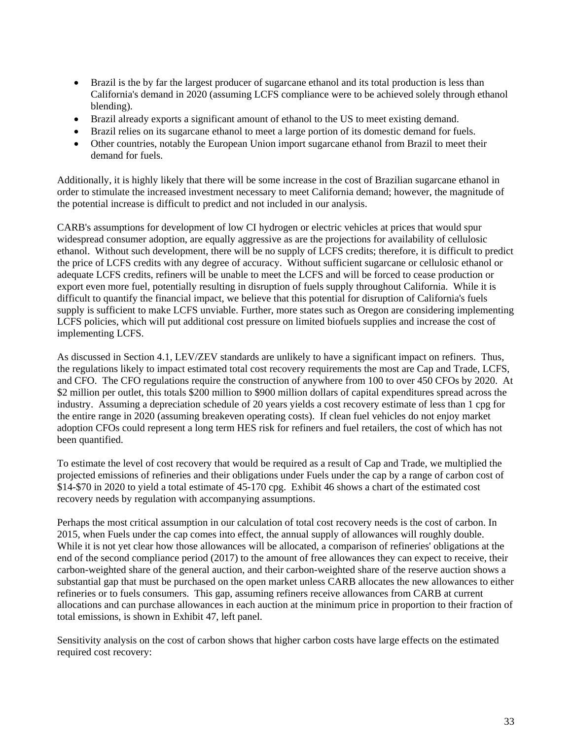- Brazil is the by far the largest producer of sugarcane ethanol and its total production is less than California's demand in 2020 (assuming LCFS compliance were to be achieved solely through ethanol blending).
- Brazil already exports a significant amount of ethanol to the US to meet existing demand.
- Brazil relies on its sugarcane ethanol to meet a large portion of its domestic demand for fuels.
- Other countries, notably the European Union import sugarcane ethanol from Brazil to meet their demand for fuels.

Additionally, it is highly likely that there will be some increase in the cost of Brazilian sugarcane ethanol in order to stimulate the increased investment necessary to meet California demand; however, the magnitude of the potential increase is difficult to predict and not included in our analysis.

CARB's assumptions for development of low CI hydrogen or electric vehicles at prices that would spur widespread consumer adoption, are equally aggressive as are the projections for availability of cellulosic ethanol. Without such development, there will be no supply of LCFS credits; therefore, it is difficult to predict the price of LCFS credits with any degree of accuracy. Without sufficient sugarcane or cellulosic ethanol or adequate LCFS credits, refiners will be unable to meet the LCFS and will be forced to cease production or export even more fuel, potentially resulting in disruption of fuels supply throughout California. While it is difficult to quantify the financial impact, we believe that this potential for disruption of California's fuels supply is sufficient to make LCFS unviable. Further, more states such as Oregon are considering implementing LCFS policies, which will put additional cost pressure on limited biofuels supplies and increase the cost of implementing LCFS.

As discussed in Section 4.1, LEV/ZEV standards are unlikely to have a significant impact on refiners. Thus, the regulations likely to impact estimated total cost recovery requirements the most are Cap and Trade, LCFS, and CFO. The CFO regulations require the construction of anywhere from 100 to over 450 CFOs by 2020. At \$2 million per outlet, this totals \$200 million to \$900 million dollars of capital expenditures spread across the industry. Assuming a depreciation schedule of 20 years yields a cost recovery estimate of less than 1 cpg for the entire range in 2020 (assuming breakeven operating costs). If clean fuel vehicles do not enjoy market adoption CFOs could represent a long term HES risk for refiners and fuel retailers, the cost of which has not been quantified.

To estimate the level of cost recovery that would be required as a result of Cap and Trade, we multiplied the projected emissions of refineries and their obligations under Fuels under the cap by a range of carbon cost of \$14-\$70 in 2020 to yield a total estimate of 45-170 cpg. Exhibit 46 shows a chart of the estimated cost recovery needs by regulation with accompanying assumptions.

Perhaps the most critical assumption in our calculation of total cost recovery needs is the cost of carbon. In 2015, when Fuels under the cap comes into effect, the annual supply of allowances will roughly double. While it is not yet clear how those allowances will be allocated, a comparison of refineries' obligations at the end of the second compliance period (2017) to the amount of free allowances they can expect to receive, their carbon-weighted share of the general auction, and their carbon-weighted share of the reserve auction shows a substantial gap that must be purchased on the open market unless CARB allocates the new allowances to either refineries or to fuels consumers. This gap, assuming refiners receive allowances from CARB at current allocations and can purchase allowances in each auction at the minimum price in proportion to their fraction of total emissions, is shown in Exhibit 47, left panel.

Sensitivity analysis on the cost of carbon shows that higher carbon costs have large effects on the estimated required cost recovery: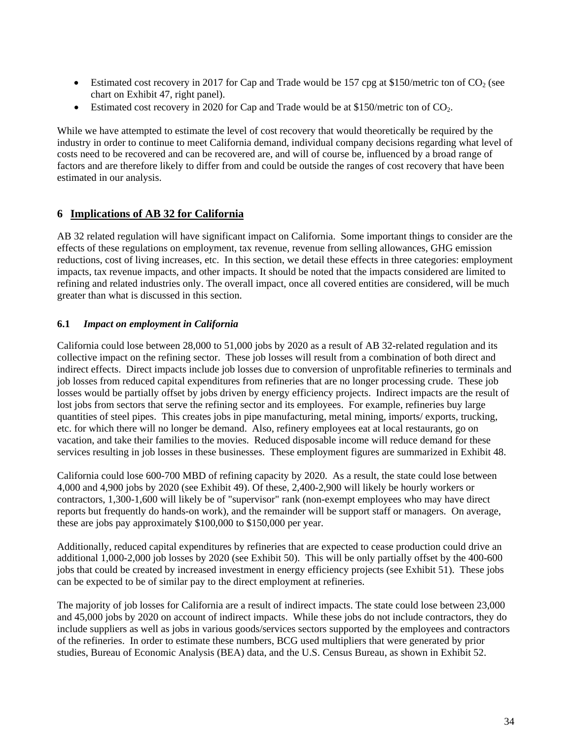- Estimated cost recovery in 2017 for Cap and Trade would be 157 cpg at \$150/metric ton of  $CO<sub>2</sub>$  (see chart on Exhibit 47, right panel).
- Estimated cost recovery in 2020 for Cap and Trade would be at  $$150/m$ etric ton of CO<sub>2</sub>.

While we have attempted to estimate the level of cost recovery that would theoretically be required by the industry in order to continue to meet California demand, individual company decisions regarding what level of costs need to be recovered and can be recovered are, and will of course be, influenced by a broad range of factors and are therefore likely to differ from and could be outside the ranges of cost recovery that have been estimated in our analysis.

### **6 Implications of AB 32 for California**

AB 32 related regulation will have significant impact on California. Some important things to consider are the effects of these regulations on employment, tax revenue, revenue from selling allowances, GHG emission reductions, cost of living increases, etc. In this section, we detail these effects in three categories: employment impacts, tax revenue impacts, and other impacts. It should be noted that the impacts considered are limited to refining and related industries only. The overall impact, once all covered entities are considered, will be much greater than what is discussed in this section.

### **6.1** *Impact on employment in California*

California could lose between 28,000 to 51,000 jobs by 2020 as a result of AB 32-related regulation and its collective impact on the refining sector. These job losses will result from a combination of both direct and indirect effects. Direct impacts include job losses due to conversion of unprofitable refineries to terminals and job losses from reduced capital expenditures from refineries that are no longer processing crude. These job losses would be partially offset by jobs driven by energy efficiency projects. Indirect impacts are the result of lost jobs from sectors that serve the refining sector and its employees. For example, refineries buy large quantities of steel pipes. This creates jobs in pipe manufacturing, metal mining, imports/ exports, trucking, etc. for which there will no longer be demand. Also, refinery employees eat at local restaurants, go on vacation, and take their families to the movies. Reduced disposable income will reduce demand for these services resulting in job losses in these businesses. These employment figures are summarized in Exhibit 48.

California could lose 600-700 MBD of refining capacity by 2020. As a result, the state could lose between 4,000 and 4,900 jobs by 2020 (see Exhibit 49). Of these, 2,400-2,900 will likely be hourly workers or contractors, 1,300-1,600 will likely be of "supervisor" rank (non-exempt employees who may have direct reports but frequently do hands-on work), and the remainder will be support staff or managers. On average, these are jobs pay approximately \$100,000 to \$150,000 per year.

Additionally, reduced capital expenditures by refineries that are expected to cease production could drive an additional 1,000-2,000 job losses by 2020 (see Exhibit 50). This will be only partially offset by the 400-600 jobs that could be created by increased investment in energy efficiency projects (see Exhibit 51). These jobs can be expected to be of similar pay to the direct employment at refineries.

The majority of job losses for California are a result of indirect impacts. The state could lose between 23,000 and 45,000 jobs by 2020 on account of indirect impacts. While these jobs do not include contractors, they do include suppliers as well as jobs in various goods/services sectors supported by the employees and contractors of the refineries. In order to estimate these numbers, BCG used multipliers that were generated by prior studies, Bureau of Economic Analysis (BEA) data, and the U.S. Census Bureau, as shown in Exhibit 52.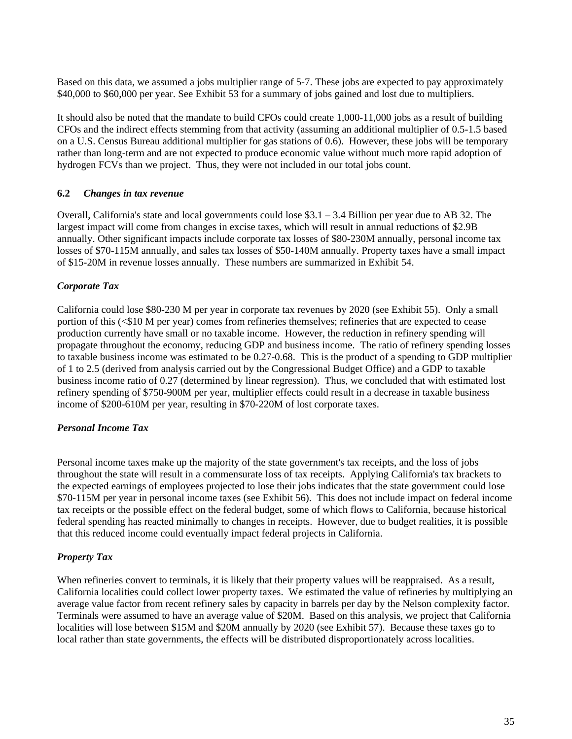Based on this data, we assumed a jobs multiplier range of 5-7. These jobs are expected to pay approximately \$40,000 to \$60,000 per year. See Exhibit 53 for a summary of jobs gained and lost due to multipliers.

It should also be noted that the mandate to build CFOs could create 1,000-11,000 jobs as a result of building CFOs and the indirect effects stemming from that activity (assuming an additional multiplier of 0.5-1.5 based on a U.S. Census Bureau additional multiplier for gas stations of 0.6). However, these jobs will be temporary rather than long-term and are not expected to produce economic value without much more rapid adoption of hydrogen FCVs than we project. Thus, they were not included in our total jobs count.

### **6.2** *Changes in tax revenue*

Overall, California's state and local governments could lose \$3.1 – 3.4 Billion per year due to AB 32. The largest impact will come from changes in excise taxes, which will result in annual reductions of \$2.9B annually. Other significant impacts include corporate tax losses of \$80-230M annually, personal income tax losses of \$70-115M annually, and sales tax losses of \$50-140M annually. Property taxes have a small impact of \$15-20M in revenue losses annually. These numbers are summarized in Exhibit 54.

### *Corporate Tax*

California could lose \$80-230 M per year in corporate tax revenues by 2020 (see Exhibit 55). Only a small portion of this (<\$10 M per year) comes from refineries themselves; refineries that are expected to cease production currently have small or no taxable income. However, the reduction in refinery spending will propagate throughout the economy, reducing GDP and business income. The ratio of refinery spending losses to taxable business income was estimated to be 0.27-0.68. This is the product of a spending to GDP multiplier of 1 to 2.5 (derived from analysis carried out by the Congressional Budget Office) and a GDP to taxable business income ratio of 0.27 (determined by linear regression). Thus, we concluded that with estimated lost refinery spending of \$750-900M per year, multiplier effects could result in a decrease in taxable business income of \$200-610M per year, resulting in \$70-220M of lost corporate taxes.

#### *Personal Income Tax*

Personal income taxes make up the majority of the state government's tax receipts, and the loss of jobs throughout the state will result in a commensurate loss of tax receipts. Applying California's tax brackets to the expected earnings of employees projected to lose their jobs indicates that the state government could lose \$70-115M per year in personal income taxes (see Exhibit 56). This does not include impact on federal income tax receipts or the possible effect on the federal budget, some of which flows to California, because historical federal spending has reacted minimally to changes in receipts. However, due to budget realities, it is possible that this reduced income could eventually impact federal projects in California.

### *Property Tax*

When refineries convert to terminals, it is likely that their property values will be reappraised. As a result, California localities could collect lower property taxes. We estimated the value of refineries by multiplying an average value factor from recent refinery sales by capacity in barrels per day by the Nelson complexity factor. Terminals were assumed to have an average value of \$20M. Based on this analysis, we project that California localities will lose between \$15M and \$20M annually by 2020 (see Exhibit 57). Because these taxes go to local rather than state governments, the effects will be distributed disproportionately across localities.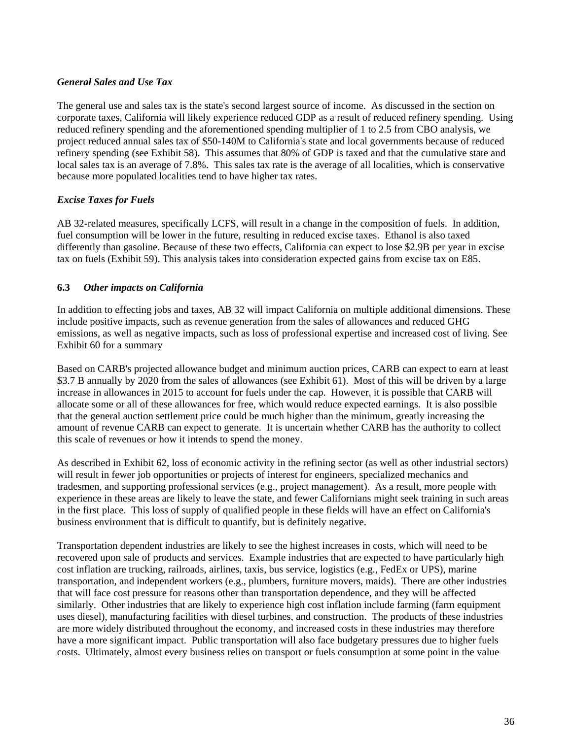### *General Sales and Use Tax*

The general use and sales tax is the state's second largest source of income. As discussed in the section on corporate taxes, California will likely experience reduced GDP as a result of reduced refinery spending. Using reduced refinery spending and the aforementioned spending multiplier of 1 to 2.5 from CBO analysis, we project reduced annual sales tax of \$50-140M to California's state and local governments because of reduced refinery spending (see Exhibit 58). This assumes that 80% of GDP is taxed and that the cumulative state and local sales tax is an average of 7.8%. This sales tax rate is the average of all localities, which is conservative because more populated localities tend to have higher tax rates.

### *Excise Taxes for Fuels*

AB 32-related measures, specifically LCFS, will result in a change in the composition of fuels. In addition, fuel consumption will be lower in the future, resulting in reduced excise taxes. Ethanol is also taxed differently than gasoline. Because of these two effects, California can expect to lose \$2.9B per year in excise tax on fuels (Exhibit 59). This analysis takes into consideration expected gains from excise tax on E85.

### **6.3** *Other impacts on California*

In addition to effecting jobs and taxes, AB 32 will impact California on multiple additional dimensions. These include positive impacts, such as revenue generation from the sales of allowances and reduced GHG emissions, as well as negative impacts, such as loss of professional expertise and increased cost of living. See Exhibit 60 for a summary

Based on CARB's projected allowance budget and minimum auction prices, CARB can expect to earn at least \$3.7 B annually by 2020 from the sales of allowances (see Exhibit 61). Most of this will be driven by a large increase in allowances in 2015 to account for fuels under the cap. However, it is possible that CARB will allocate some or all of these allowances for free, which would reduce expected earnings. It is also possible that the general auction settlement price could be much higher than the minimum, greatly increasing the amount of revenue CARB can expect to generate. It is uncertain whether CARB has the authority to collect this scale of revenues or how it intends to spend the money.

As described in Exhibit 62, loss of economic activity in the refining sector (as well as other industrial sectors) will result in fewer job opportunities or projects of interest for engineers, specialized mechanics and tradesmen, and supporting professional services (e.g., project management). As a result, more people with experience in these areas are likely to leave the state, and fewer Californians might seek training in such areas in the first place. This loss of supply of qualified people in these fields will have an effect on California's business environment that is difficult to quantify, but is definitely negative.

Transportation dependent industries are likely to see the highest increases in costs, which will need to be recovered upon sale of products and services. Example industries that are expected to have particularly high cost inflation are trucking, railroads, airlines, taxis, bus service, logistics (e.g., FedEx or UPS), marine transportation, and independent workers (e.g., plumbers, furniture movers, maids). There are other industries that will face cost pressure for reasons other than transportation dependence, and they will be affected similarly. Other industries that are likely to experience high cost inflation include farming (farm equipment uses diesel), manufacturing facilities with diesel turbines, and construction. The products of these industries are more widely distributed throughout the economy, and increased costs in these industries may therefore have a more significant impact. Public transportation will also face budgetary pressures due to higher fuels costs. Ultimately, almost every business relies on transport or fuels consumption at some point in the value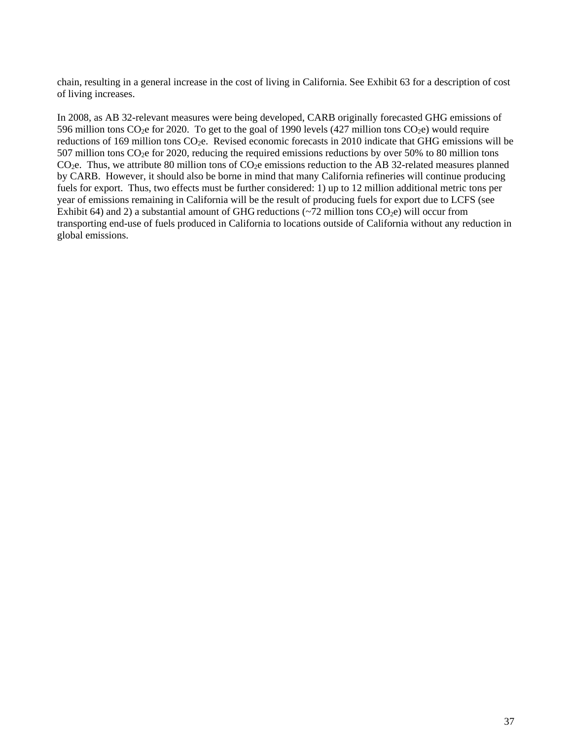chain, resulting in a general increase in the cost of living in California. See Exhibit 63 for a description of cost of living increases.

In 2008, as AB 32-relevant measures were being developed, CARB originally forecasted GHG emissions of 596 million tons  $CO_2e$  for 2020. To get to the goal of 1990 levels (427 million tons  $CO_2e$ ) would require reductions of 169 million tons  $CO<sub>2</sub>e$ . Revised economic forecasts in 2010 indicate that GHG emissions will be 507 million tons  $CO<sub>2</sub>e$  for 2020, reducing the required emissions reductions by over 50% to 80 million tons CO<sub>2</sub>e. Thus, we attribute 80 million tons of CO<sub>2</sub>e emissions reduction to the AB 32-related measures planned by CARB. However, it should also be borne in mind that many California refineries will continue producing fuels for export. Thus, two effects must be further considered: 1) up to 12 million additional metric tons per year of emissions remaining in California will be the result of producing fuels for export due to LCFS (see Exhibit 64) and 2) a substantial amount of GHG reductions ( $\sim$ 72 million tons CO<sub>2</sub>e) will occur from transporting end-use of fuels produced in California to locations outside of California without any reduction in global emissions.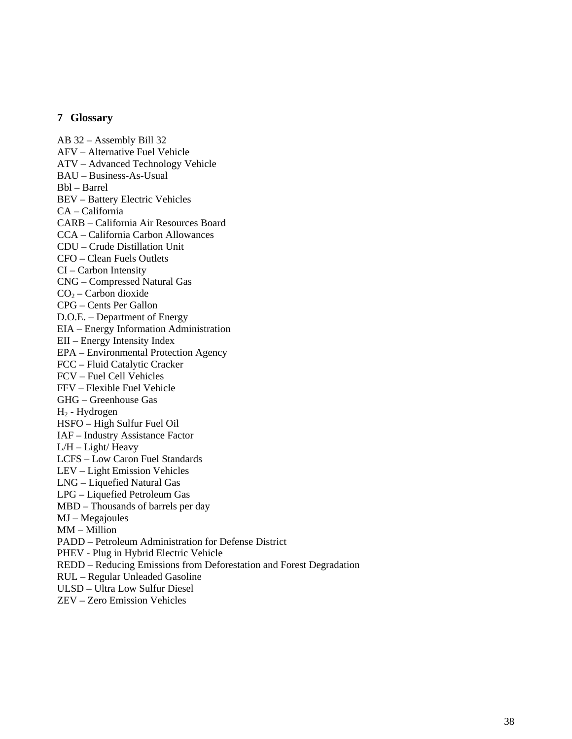#### **7 Glossary**

AB 32 – Assembly Bill 32 AFV – Alternative Fuel Vehicle ATV – Advanced Technology Vehicle BAU – Business-As-Usual Bbl – Barrel BEV – Battery Electric Vehicles CA – California CARB – California Air Resources Board CCA – California Carbon Allowances CDU – Crude Distillation Unit CFO – Clean Fuels Outlets CI – Carbon Intensity CNG – Compressed Natural Gas  $CO<sub>2</sub> - Carbon dioxide$ CPG – Cents Per Gallon D.O.E. – Department of Energy EIA – Energy Information Administration EII – Energy Intensity Index EPA – Environmental Protection Agency FCC – Fluid Catalytic Cracker FCV – Fuel Cell Vehicles FFV – Flexible Fuel Vehicle GHG – Greenhouse Gas H2 - Hydrogen HSFO – High Sulfur Fuel Oil IAF – Industry Assistance Factor L/H – Light/ Heavy LCFS – Low Caron Fuel Standards LEV – Light Emission Vehicles LNG – Liquefied Natural Gas LPG – Liquefied Petroleum Gas MBD – Thousands of barrels per day MJ – Megajoules MM – Million PADD – Petroleum Administration for Defense District PHEV - Plug in Hybrid Electric Vehicle REDD – Reducing Emissions from Deforestation and Forest Degradation RUL – Regular Unleaded Gasoline ULSD – Ultra Low Sulfur Diesel ZEV – Zero Emission Vehicles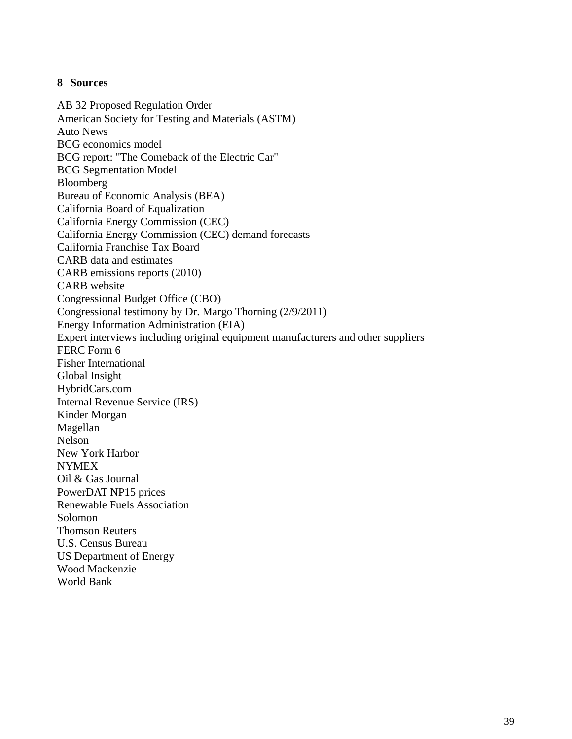### **8 Sources**

AB 32 Proposed Regulation Order American Society for Testing and Materials (ASTM) Auto News BCG economics model BCG report: "The Comeback of the Electric Car" BCG Segmentation Model Bloomberg Bureau of Economic Analysis (BEA) California Board of Equalization California Energy Commission (CEC) California Energy Commission (CEC) demand forecasts California Franchise Tax Board CARB data and estimates CARB emissions reports (2010) CARB website Congressional Budget Office (CBO) Congressional testimony by Dr. Margo Thorning (2/9/2011) Energy Information Administration (EIA) Expert interviews including original equipment manufacturers and other suppliers FERC Form 6 Fisher International Global Insight HybridCars.com Internal Revenue Service (IRS) Kinder Morgan Magellan Nelson New York Harbor NYMEX Oil & Gas Journal PowerDAT NP15 prices Renewable Fuels Association Solomon Thomson Reuters U.S. Census Bureau US Department of Energy Wood Mackenzie World Bank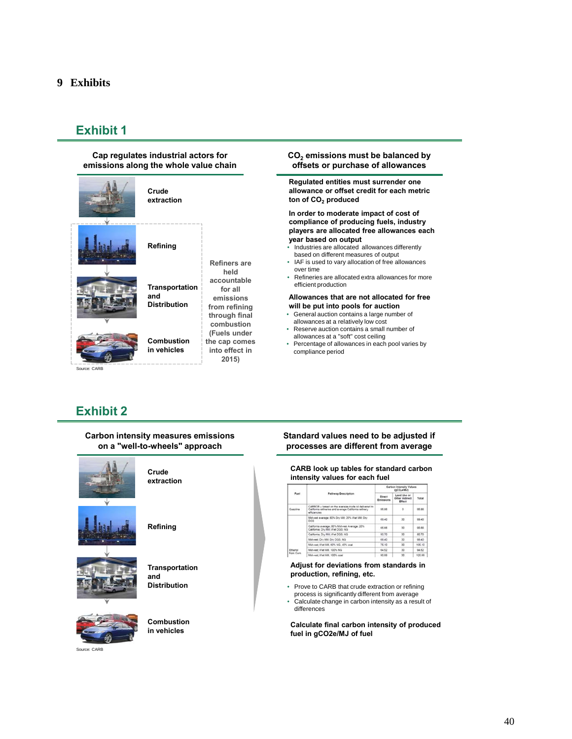#### **Cap regulates industrial actors for emissions along the whole value chain**



#### **CO2 emissions must be balanced by offsets or purchase of allowances**

**Regulated entities must surrender one allowance or offset credit for each metric**  ton of CO<sub>2</sub> produced

**In order to moderate impact of cost of compliance of producing fuels, industry players are allocated free allowances each year based on output**

- Industries are allocated allowances differently based on different measures of output
- IAF is used to vary allocation of free allowances over time
- Refineries are allocated extra allowances for more efficient production

#### **Allowances that are not allocated for free will be put into pools for auction**

- General auction contains a large number of allowances at a relatively low cost
- Reserve auction contains a small number of allowances at a "soft" cost ceiling
- Percentage of allowances in each pool varies by compliance period

# **Exhibit 2**

| <b>Carbon intensity measures emissions</b><br>on a "well-to-wheels" approach |  |
|------------------------------------------------------------------------------|--|
| Crude<br>extraction                                                          |  |
| Refining                                                                     |  |
| <b>Transportation</b><br>and<br><b>Distribution</b>                          |  |
| <b>Combustion</b><br>in vehicles                                             |  |

**Standard values need to be adjusted if processes are different from average**

#### **CARB look up tables for standard carbon intensity values for each fuel**

|             |                                                                                                                               | Carbon Intensity Values<br>(LMA-020) |                                                |        |
|-------------|-------------------------------------------------------------------------------------------------------------------------------|--------------------------------------|------------------------------------------------|--------|
| <b>Puel</b> | Pathway Description                                                                                                           | Direct<br><b>Emissions</b>           | Land Use or<br>Other Indirect<br><b>Effect</b> | Total  |
| Gasoline    | CARBOB - based on the average crude oil delivered to<br>California refineries and average California refinery<br>efficiencies | 95.96                                | $\circ$                                        | 95.86  |
|             | Mid-well average: 80% Dry Mill: 20% Wet Mill: Dry<br>DGS                                                                      | 69.40                                | 30 <sub>o</sub>                                | 99.40  |
|             | California average: 80% Mid-rest Average: 20%<br>California: Dr., Mill: Wet DGS: NG                                           | 65.66                                | 30 <sub>o</sub>                                | 95.65  |
|             | California: Dry Mill: Wet DGS: NG                                                                                             | 50.70                                | 30 <sub>o</sub>                                | 80.70  |
|             | Midwest Dry Milt Dry DGS, NG                                                                                                  | 68.40                                | 30 <sub>o</sub>                                | 08.40  |
|             | Mid-est Wet Mil. 60% NG, 40% coal                                                                                             | 75.10                                | 30                                             | 105.10 |
| Ethanol     | Mid-est Wet Mil. 100% NG                                                                                                      | 64.52                                | 30 <sup>°</sup>                                | 64.52  |
| from Corn   | Mid-wat Wet Mit. 100% coal                                                                                                    | 90.99                                | 30 <sub>o</sub>                                | 120.99 |

#### **Adjust for deviations from standards in production, refining, etc.**

- Prove to CARB that crude extraction or refining process is significantly different from average
- Calculate change in carbon intensity as a result of differences

**Calculate final carbon intensity of produced fuel in gCO2e/MJ of fuel**

#### Source: CARB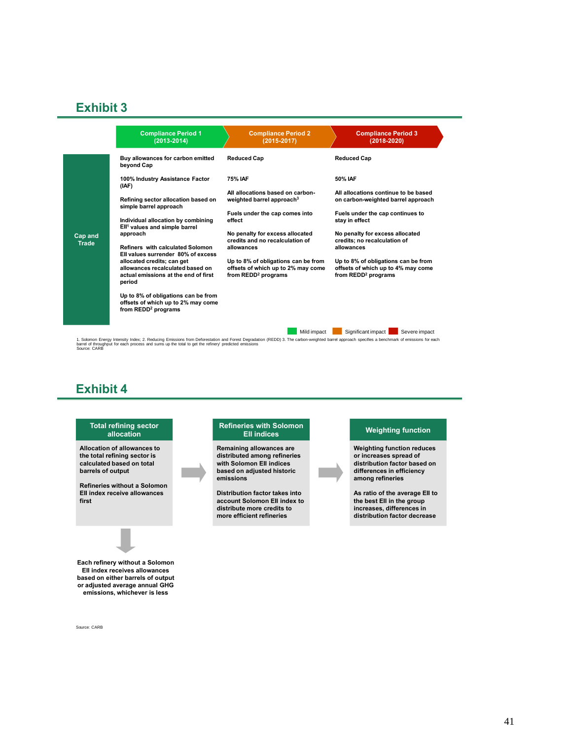|                         | <b>Compliance Period 1</b><br>$(2013 - 2014)$                                                                    | <b>Compliance Period 2</b><br>$(2015 - 2017)$                                                                | <b>Compliance Period 3</b><br>$(2018 - 2020)$                                                                |
|-------------------------|------------------------------------------------------------------------------------------------------------------|--------------------------------------------------------------------------------------------------------------|--------------------------------------------------------------------------------------------------------------|
|                         | Buy allowances for carbon emitted<br>beyond Cap                                                                  | <b>Reduced Cap</b>                                                                                           | <b>Reduced Cap</b>                                                                                           |
|                         | 100% Industry Assistance Factor<br>(IAF)                                                                         | <b>75% IAF</b>                                                                                               | 50% IAF                                                                                                      |
|                         | Refining sector allocation based on<br>simple barrel approach                                                    | All allocations based on carbon-<br>weighted barrel approach <sup>3</sup>                                    | All allocations continue to be based<br>on carbon-weighted barrel approach                                   |
|                         | Individual allocation by combining                                                                               | Fuels under the cap comes into<br>effect                                                                     | Fuels under the cap continues to<br>stay in effect                                                           |
| Cap and<br><b>Trade</b> | Ell <sup>1</sup> values and simple barrel<br>approach                                                            | No penalty for excess allocated<br>credits and no recalculation of                                           | No penalty for excess allocated<br>credits; no recalculation of                                              |
|                         | Refiners with calculated Solomon<br>Ell values surrender 80% of excess                                           | allowances                                                                                                   | allowances                                                                                                   |
|                         | allocated credits; can get<br>allowances recalculated based on<br>actual emissions at the end of first<br>period | Up to 8% of obligations can be from<br>offsets of which up to 2% may come<br>from REDD <sup>2</sup> programs | Up to 8% of obligations can be from<br>offsets of which up to 4% may come<br>from REDD <sup>2</sup> programs |
|                         | Up to 8% of obligations can be from<br>offsets of which up to 2% may come<br>from REDD <sup>2</sup> programs     |                                                                                                              |                                                                                                              |
|                         |                                                                                                                  | Mild impact                                                                                                  | Significant impact<br>Severe impact                                                                          |

1. Solomon Energy Intensity Index; 2. Reducing Emissions from Deforestation and Forest Degradation (REDD) 3. The carbon-weighted barrel approach specifies a benchmark of emissions for each<br>barrel of throughput for each pro

# **Exhibit 4**



Source: CARB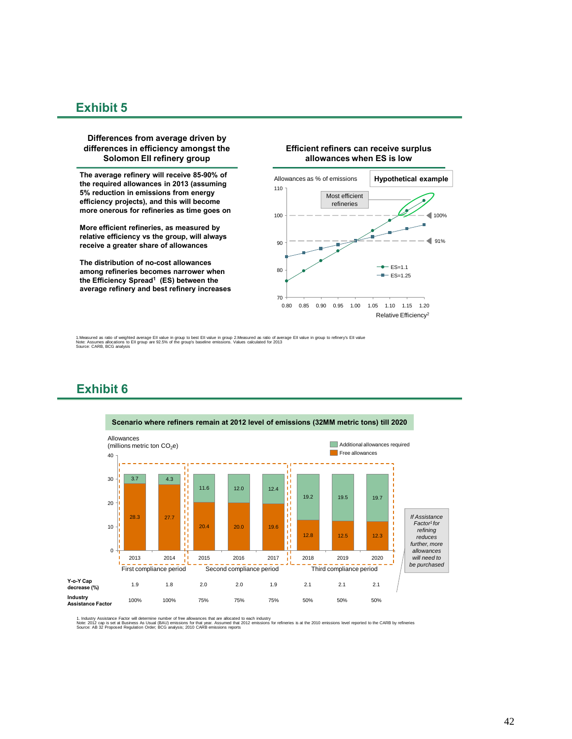#### **Differences from average driven by differences in efficiency amongst the Solomon EII refinery group**

**The average refinery will receive 85-90% of the required allowances in 2013 (assuming 5% reduction in emissions from energy efficiency projects), and this will become more onerous for refineries as time goes on**

**More efficient refineries, as measured by relative efficiency vs the group, will always receive a greater share of allowances**

**The distribution of no-cost allowances among refineries becomes narrower when the Efficiency Spread1 (ES) between the average refinery and best refinery increases**

#### **Efficient refiners can receive surplus allowances when ES is low**



1.Measured as ratio of weighted average Ell value in group to best Ell value in group 2.Measured as ratio of average Ell value in group to refinery's Ell value<br>Note: Assumes allocations to Ell group are 92.5% of the group'

**Exhibit 6**



1. Industry Assistance Factor will determine number of free allowances that are allocated to each industry<br>Note: 2012 cap is set at Busines As Usual (BAU) emissions for that year. Assumed that 2012 emissions for refineries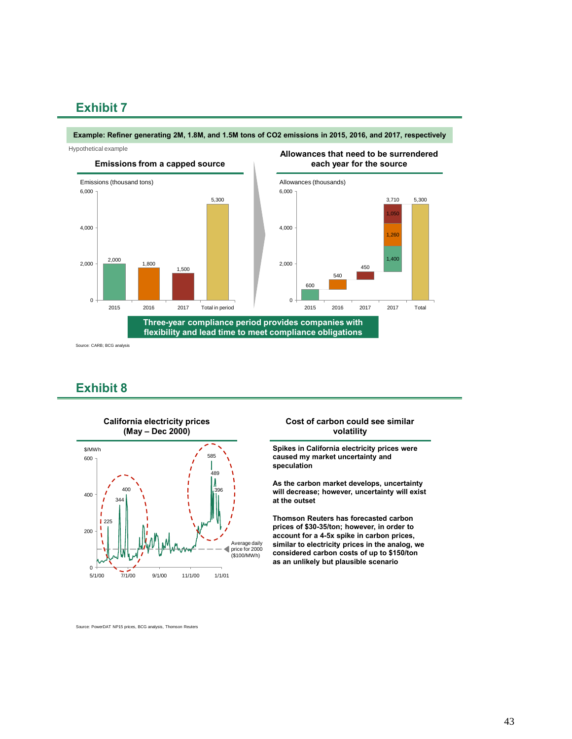#### **Example: Refiner generating 2M, 1.8M, and 1.5M tons of CO2 emissions in 2015, 2016, and 2017, respectively**

Hypothetical example



Source: CARB; BCG analysis

### **Exhibit 8**



#### **Cost of carbon could see similar volatility**

Total

2017

2017

450

1,400

 $.260$ 

3,710

1,050

5,300

**Spikes in California electricity prices were caused my market uncertainty and speculation**

**As the carbon market develops, uncertainty will decrease; however, uncertainty will exist at the outset**

**Thomson Reuters has forecasted carbon prices of \$30-35/ton; however, in order to account for a 4-5x spike in carbon prices, similar to electricity prices in the analog, we considered carbon costs of up to \$150/ton as an unlikely but plausible scenario**

Source: PowerDAT NP15 prices, BCG analysis, Thomson Reuters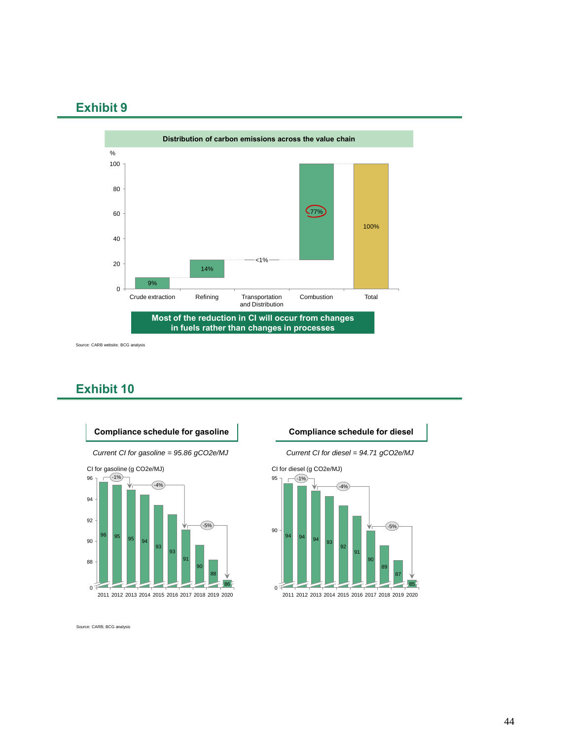

Source: CARB website; BCG analysis

### **Exhibit 10**





Source: CARB; BCG analysis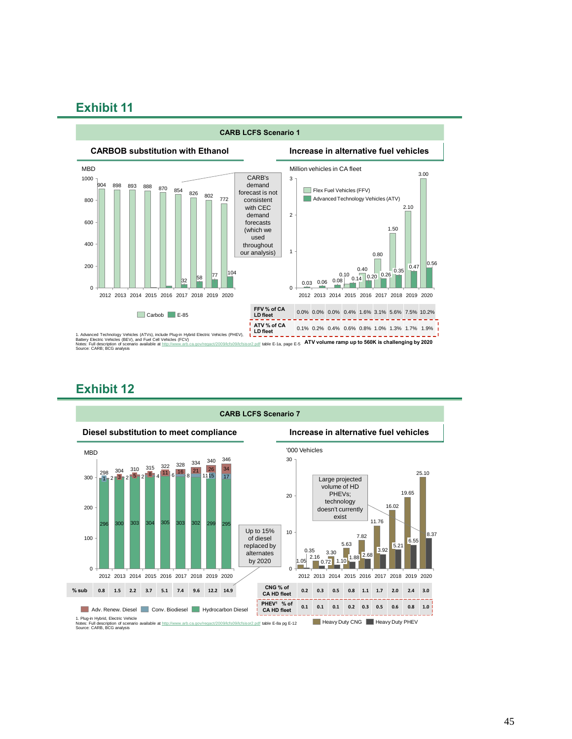

### **Exhibit 12**

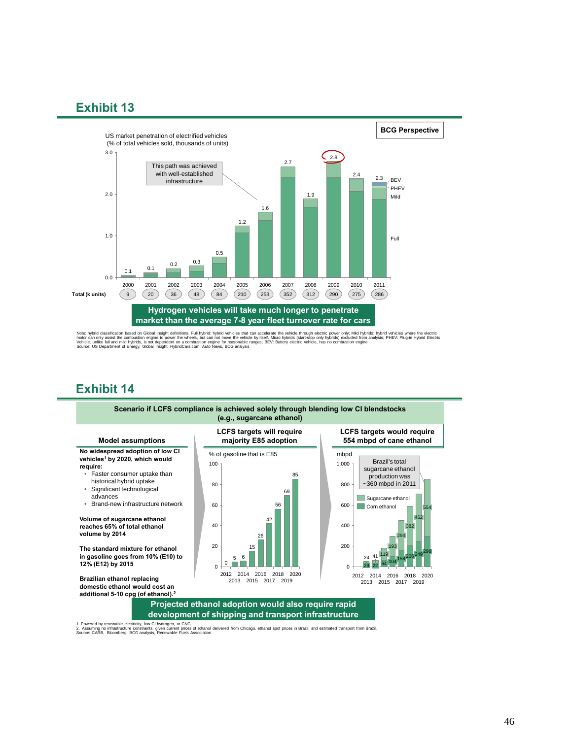

Nate: hybrid dassification based on Global Insight definitions. Full hybrid: hybrid vehicles that can accelerate the vehelic the vehen the plectinc moder of property in the plectric moder with moderate the vehence the plec

### **Exhibit 14**



#### **Projected ethanol adoption would also require rapid development of shipping and transport infrastructure**

1. Powered by renewable electricity, low Cl hydrogen, or CNG<br>2. Assuming no infrastructure constraints, given current prices of ethanol delivered from Chicago, ethanol spor<br>Source: CARB, Bloomberg, BCG analysis, Renewable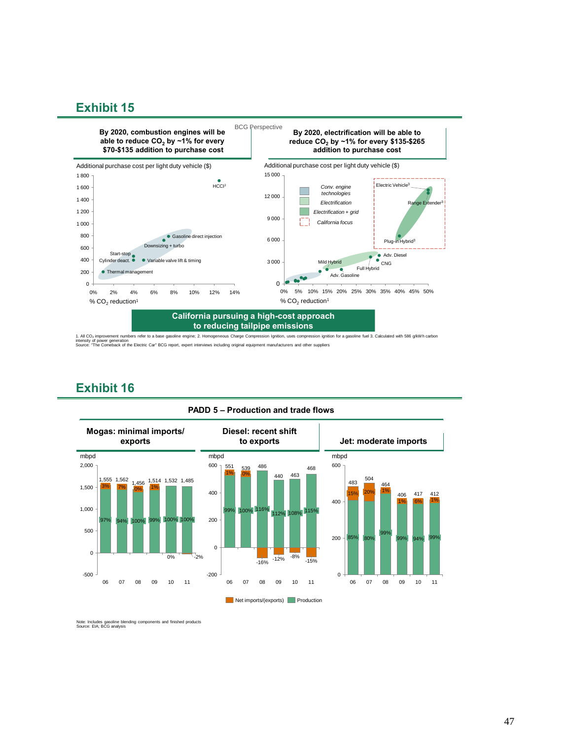

1. All CO2 improvement numbers refer to a base gasoline engine; 2. Homogeneous Charge Compression Ignition, uses compression ignition for a gasoline fuel 3. Calculated with 586 g/kWh carbon intensity of power generation Source: "The Comeback of the Electric Car" BCG report, expert interviews including original equipment manufacturers and other suppliers



### **Exhibit 16**

Note: Includes gasoline blending components and finished products Source: EIA; BCG analysis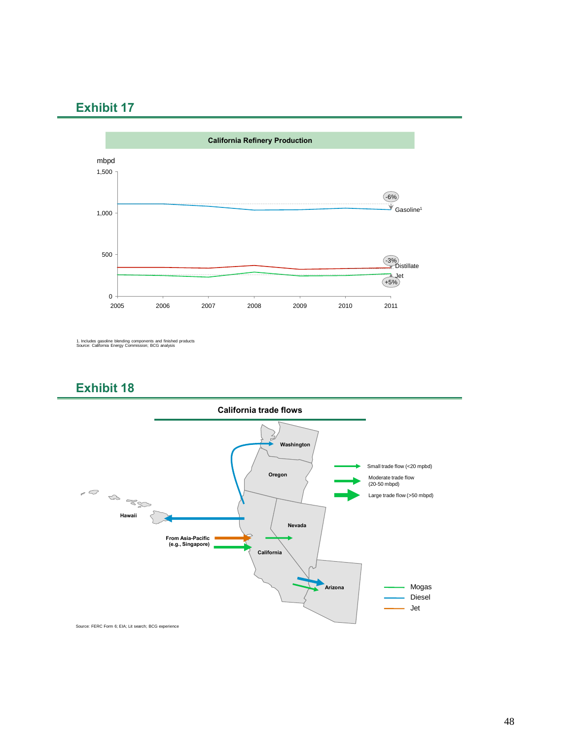

<sup>1.</sup> Includes gasoline blending components and finished products Source: California Energy Commission; BCG analysis





Source: FERC Form 6; EIA; Lit search; BCG experience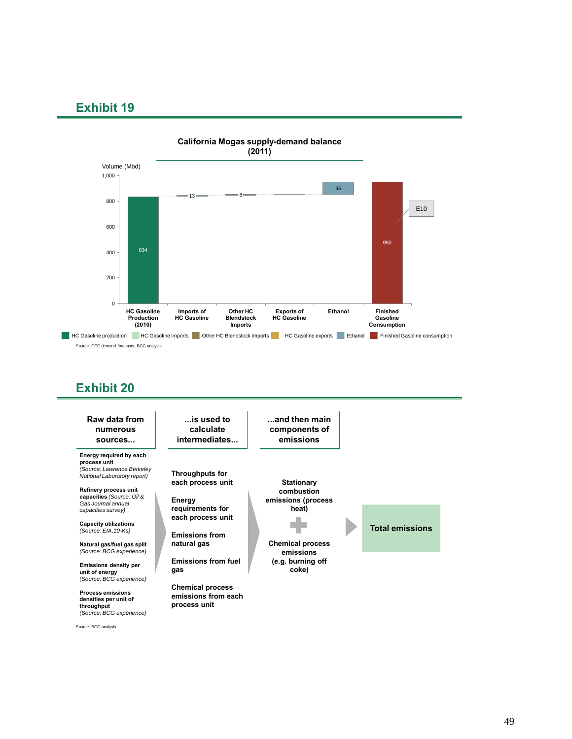



Source: BCG analysis

*(Source: BCG experience)*

49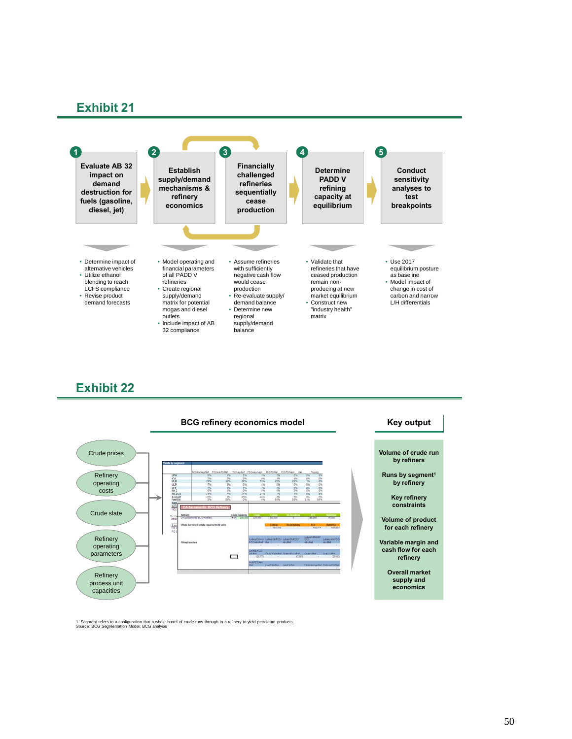



1. Segment refers to a configuration that a whole barrel of crude runs through in a refinery to yield petroleum products. Source: BCG Segmentation Model; BCG analysis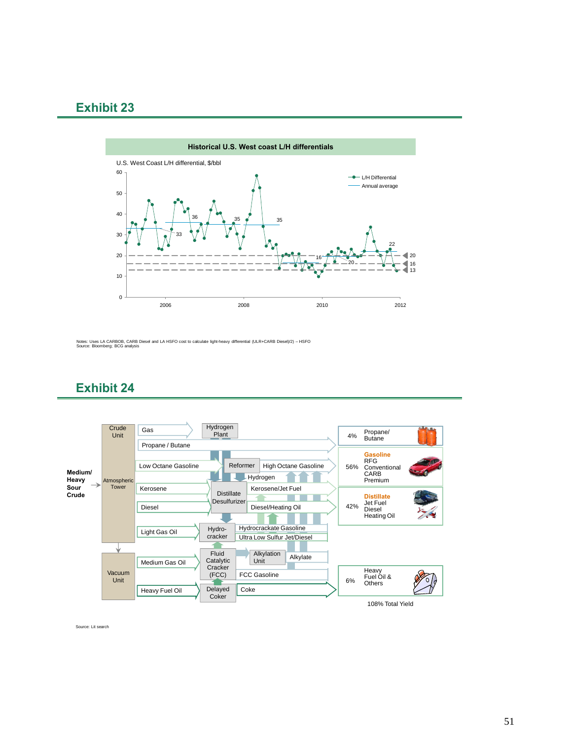

Notes: Uses LA CARBOB, CARB Diesel and LA HSFO cost to calculate light-heavy differential (ULR+CARB Diesel)/2) – HSFO Source: Bloomberg; BCG analysis

### **Exhibit 24**



Source: Lit search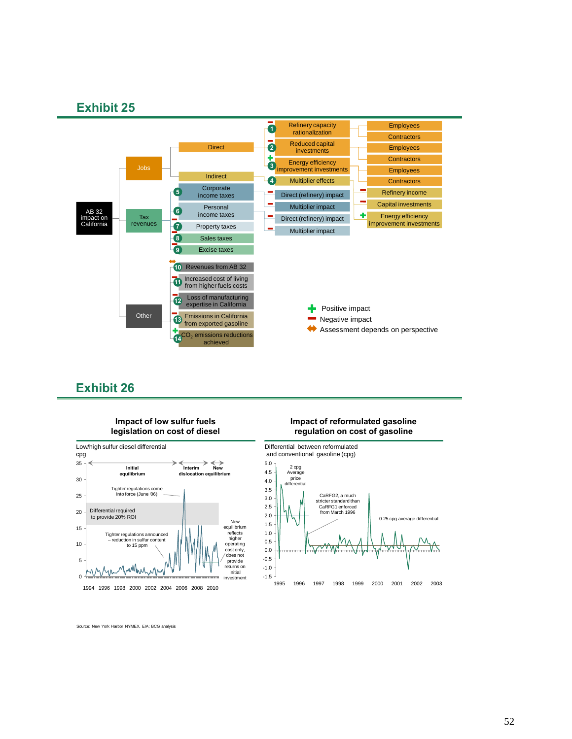

#### **Impact of low sulfur fuels legislation on cost of diesel**



#### **Impact of reformulated gasoline regulation on cost of gasoline**



Source: New York Harbor NYMEX, EIA; BCG analysis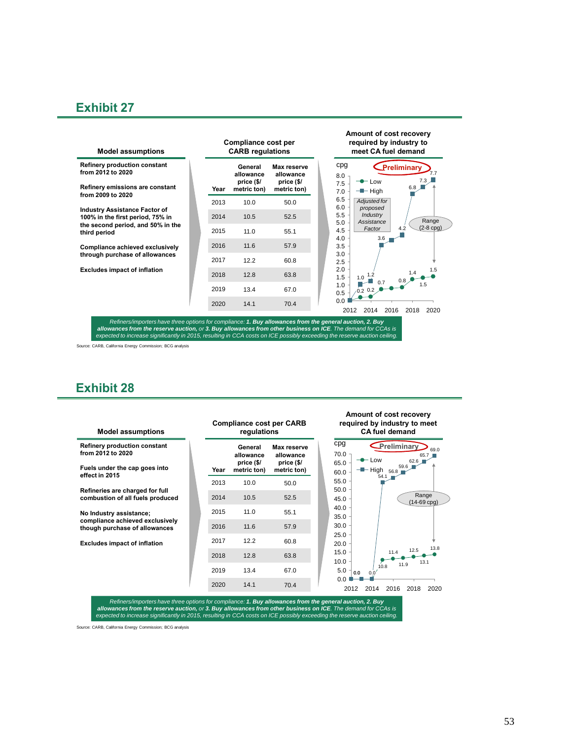| <b>Refinery production constant</b><br>General<br>Max reserve<br>from 2012 to 2020<br>allowance<br>allowance<br>price (\$/<br>price (\$/<br>Refinery emissions are constant<br>Year<br>metric ton)<br>metric ton) |
|-------------------------------------------------------------------------------------------------------------------------------------------------------------------------------------------------------------------|
| from 2009 to 2020                                                                                                                                                                                                 |
| 2013<br>10.0<br>50.0                                                                                                                                                                                              |
| <b>Industry Assistance Factor of</b><br>52.5<br>2014<br>10.5<br>100% in the first period, 75% in                                                                                                                  |
| the second period, and 50% in the<br>2015<br>11.0<br>55.1<br>third period                                                                                                                                         |
| 11.6<br>57.9<br>2016<br>Compliance achieved exclusively                                                                                                                                                           |
| through purchase of allowances<br>2017<br>12.2<br>60.8                                                                                                                                                            |
| <b>Excludes impact of inflation</b><br>2018<br>12.8<br>63.8                                                                                                                                                       |
| 2019<br>13.4<br>67.0                                                                                                                                                                                              |
| 2020<br>14.1<br>70.4                                                                                                                                                                                              |

Refiners/importers have three options for compliance: 1. Buy allowances from the general auction, 2. Buy<br>allowances from the reserve auction, or 3. Buy allowances from other business on ICE. The demand for CCAs is<br>expected

Source: CARB, California Energy Commission; BCG analysis

### **Exhibit 28**

| <b>Model assumptions</b>                                                                  | <b>Compliance cost per CARB</b><br>regulations |                                                   |                                                              | required by industry to meet<br><b>CA fuel demand</b>                                          |  |
|-------------------------------------------------------------------------------------------|------------------------------------------------|---------------------------------------------------|--------------------------------------------------------------|------------------------------------------------------------------------------------------------|--|
| <b>Refinery production constant</b><br>from 2012 to 2020<br>Fuels under the cap goes into | Year                                           | General<br>allowance<br>price (\$/<br>metric ton) | <b>Max reserve</b><br>allowance<br>price (\$/<br>metric ton) | cpg<br>Preliminary<br>69.0<br>70.0<br>65.7<br>$-OW$<br>62.6<br>65.0<br>59.6<br>$-High$<br>56.8 |  |
| effect in 2015                                                                            | 2013                                           | 10.0                                              | 50.0                                                         | 60.0<br>54.1<br>55.0                                                                           |  |
| Refineries are charged for full<br>combustion of all fuels produced                       | 2014                                           | 10.5                                              | 52.5                                                         | 50.0<br>Range<br>45.0<br>(14-69 cpg)                                                           |  |
| No Industry assistance;                                                                   | 2015                                           | 11.0                                              | 55.1                                                         | 40.0<br>35.0                                                                                   |  |
| compliance achieved exclusively<br>though purchase of allowances                          | 2016                                           | 11.6                                              | 57.9                                                         | 30.0                                                                                           |  |
| <b>Excludes impact of inflation</b>                                                       | 2017                                           | 12.2                                              | 60.8                                                         | 25.0<br>20.0<br>13.8                                                                           |  |
|                                                                                           | 2018                                           | 12.8                                              | 63.8                                                         | 12.5<br>15.0<br>11.4<br>10.0<br>13.1                                                           |  |
|                                                                                           | 2019                                           | 13.4                                              | 67.0                                                         | 11.9<br>10.8<br>5.0<br>0.0<br>0.0                                                              |  |
|                                                                                           | 2020                                           | 14.1                                              | 70.4                                                         | 0.0<br>2016<br>2018<br>2020<br>2012<br>2014                                                    |  |

**Amount of cost recovery** 

Refiners/importers have three options for compliance: 1. Buy allowances from the general auction, 2. Buy<br>allowances from the reserve auction, or 3. Buy allowances from other business on ICE. The demand for CCAs is<br>expected

Source: CARB, California Energy Commission; BCG analysis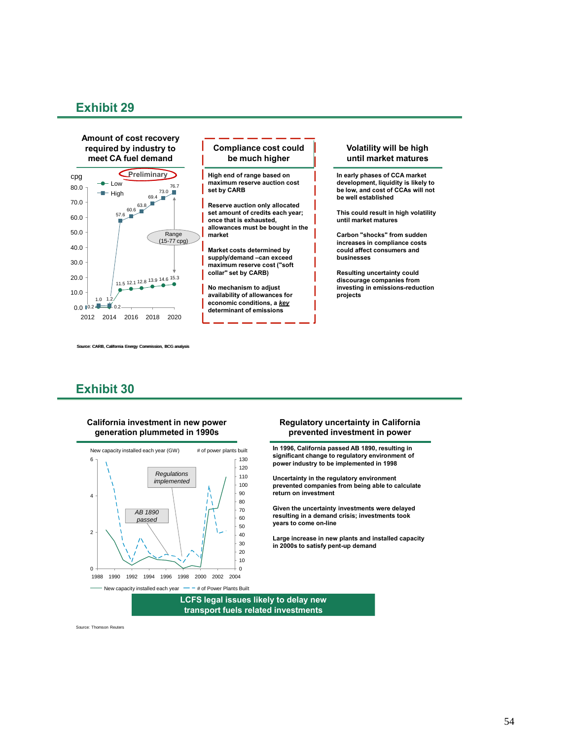

CARB, California Energy Commission, BCG analysis

### **Exhibit 30**

#### **California investment in new power generation plummeted in 1990s**



#### **Regulatory uncertainty in California prevented investment in power**

**In 1996, California passed AB 1890, resulting in significant change to regulatory environment of power industry to be implemented in 1998**

**Uncertainty in the regulatory environment prevented companies from being able to calculate return on investment**

**Given the uncertainty investments were delayed resulting in a demand crisis; investments took years to come on-line**

**Large increase in new plants and installed capacity in 2000s to satisfy pent-up demand**

**LCFS legal issues likely to delay new transport fuels related investments**

Source: Thomson Reuters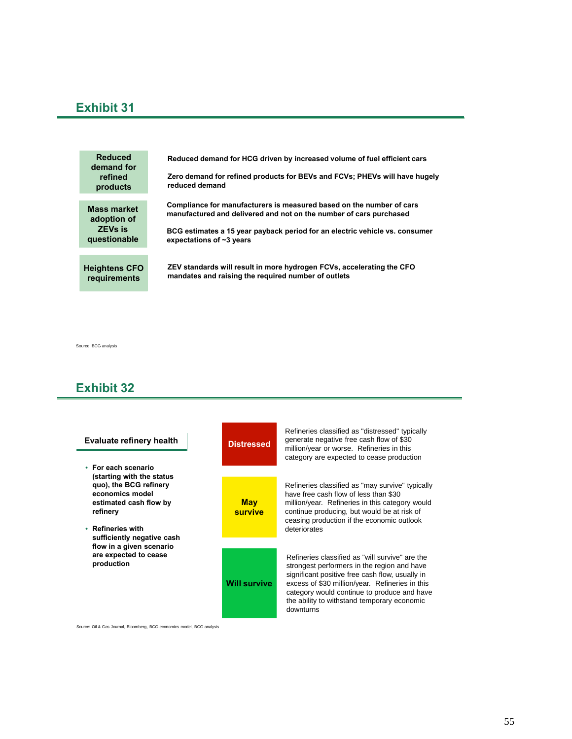**Reduced demand for HCG driven by increased volume of fuel efficient cars Zero demand for refined products for BEVs and FCVs; PHEVs will have hugely reduced demand Reduced demand for refined products Heightens CFO requirements ZEV standards will result in more hydrogen FCVs, accelerating the CFO mandates and raising the required number of outlets Mass market adoption of ZEVs is questionable Compliance for manufacturers is measured based on the number of cars manufactured and delivered and not on the number of cars purchased BCG estimates a 15 year payback period for an electric vehicle vs. consumer expectations of ~3 years**

Source: BCG analysis

### **Exhibit 32**



Source: Oil & Gas Journal, Bloomberg, BCG economics model, BCG analysis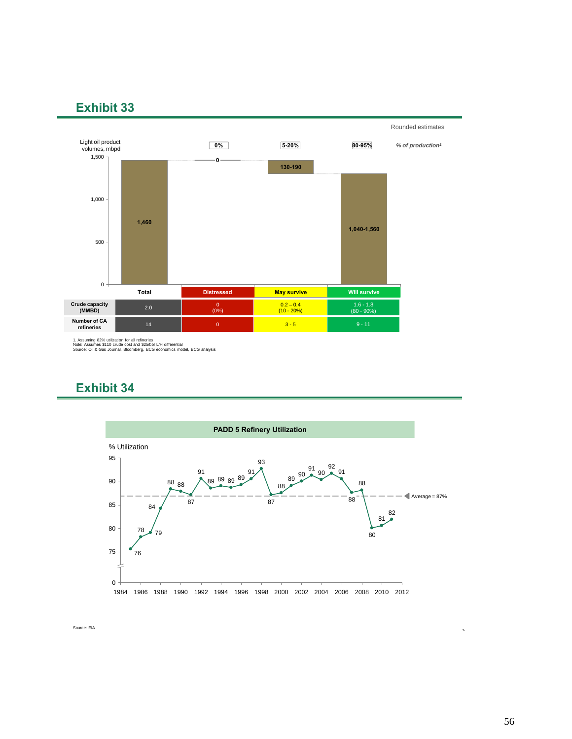

1. Assuming 82% utilization for all refineries Note: Assumes \$110 crude cost and \$25/bbl L/H differential Source: Oil & Gas Journal, Bloomberg, BCG economics model, BCG analysis

### **Exhibit 34**



Source: EIA

`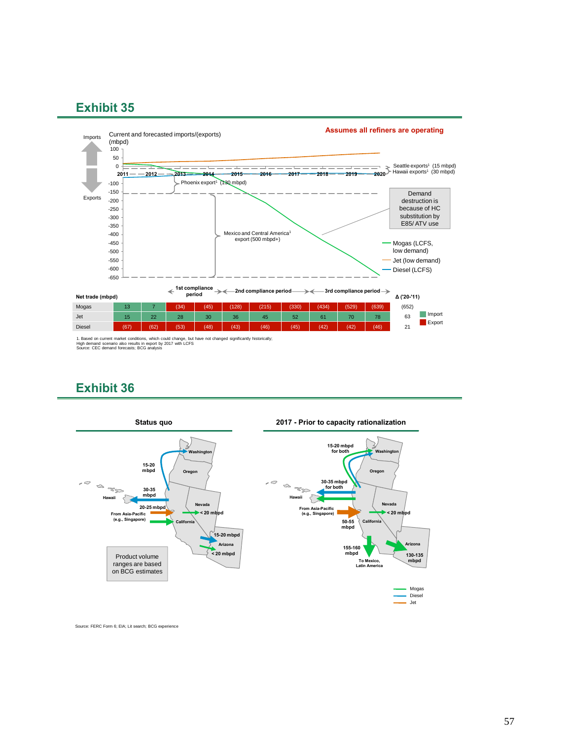

1. Based on current market conditions, which could change, but have not changed significantly historically;<br>High demand scenario also results in export by 2017 with LCFS<br>Source: CEC demand forecasts; BCG analysis

### **Exhibit 36**



Source: FERC Form 6; EIA; Lit search; BCG experience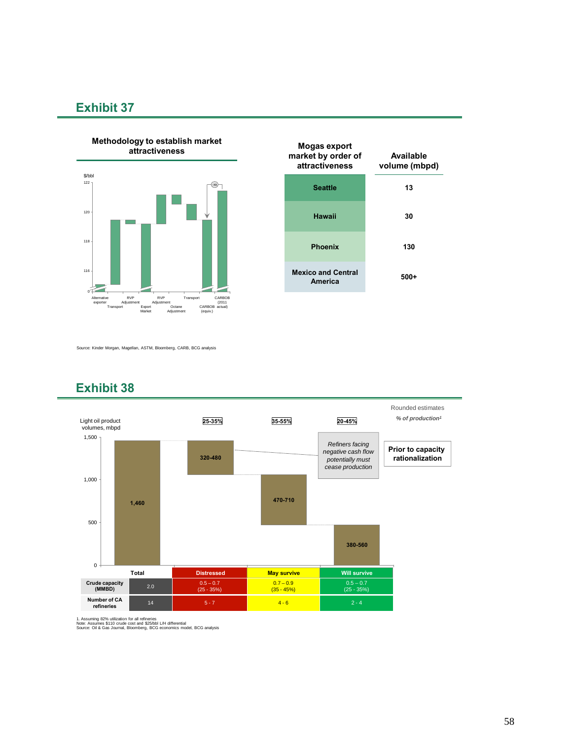



Source: Kinder Morgan, Magellan, ASTM, Bloomberg, CARB, BCG analysis



### **Exhibit 38**

1. Assuming 82% utilization for all refineries Note: Assumes \$110 crude cost and \$25/bbl L/H differential Source: Oil & Gas Journal, Bloomberg, BCG economics model, BCG analysis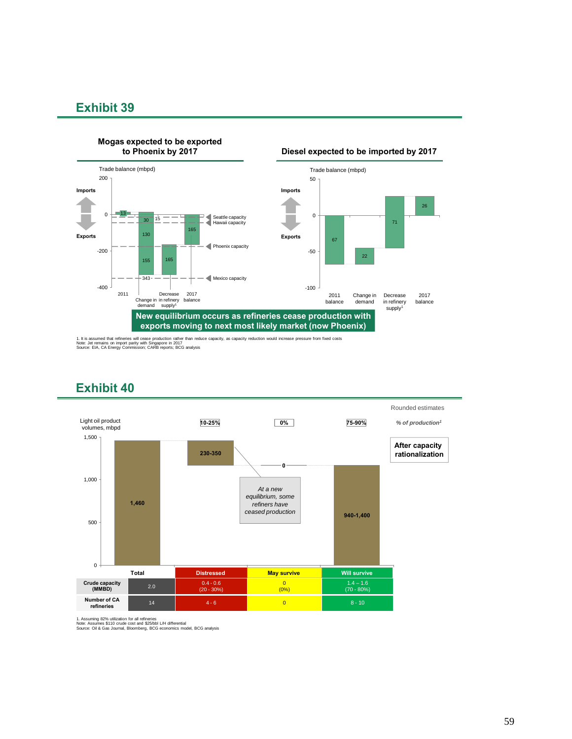

**Mogas expected to be exported**

1. It is assumed that refineries will cease production rather than reduce capacity, as capacity reduction would increase pressure from fixed costs<br>Note: Jet remains on import parity with Singapore in 2017<br>Source: EIA, CA E



### **Exhibit 40**

1. Assuming 82% utilization for all refineries Note: Assumes \$110 crude cost and \$25/bbl L/H differential Source: Oil & Gas Journal, Bloomberg, BCG economics model, BCG analysis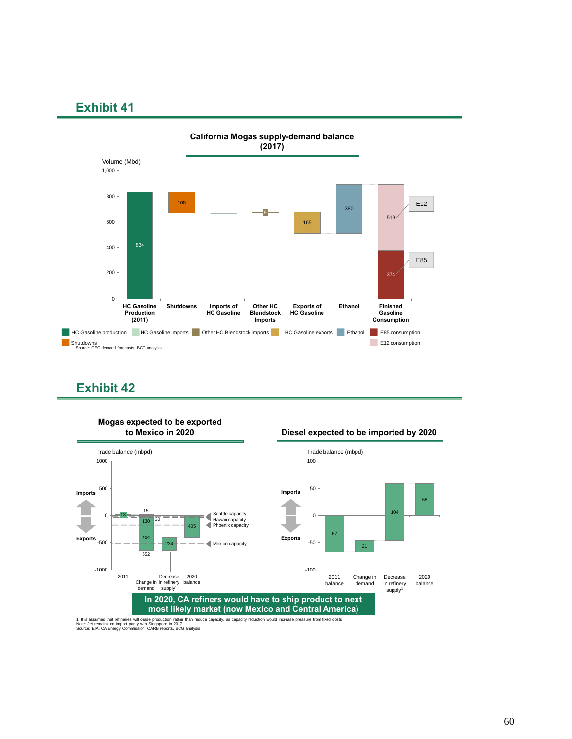

### **Exhibit 42**



**Mogas expected to be exported** 

1. It is assumed that refineries will cease production rather than reduce capacity, as capacity reduction would increase pressure from fixed costs<br>Note: Jet remains on import parity with Singapore in 2017<br>Source: EIA, CA E

**to Mexico in 2020 Diesel expected to be imported by 2020**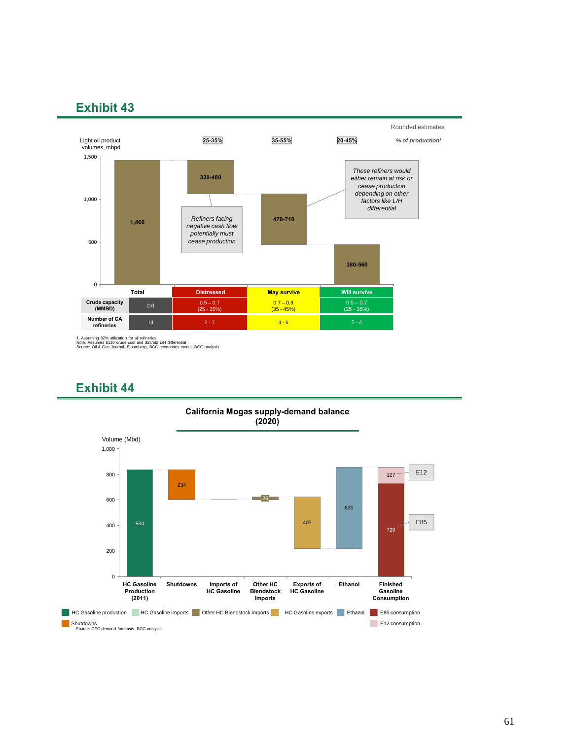

1. Assuming 82% utilization for all refineries Note: Assumes \$110 crude cost and \$25/bbl L/H differential Source: Oil & Gas Journal, Bloomberg, BCG economics model, BCG analysis



### **Exhibit 44**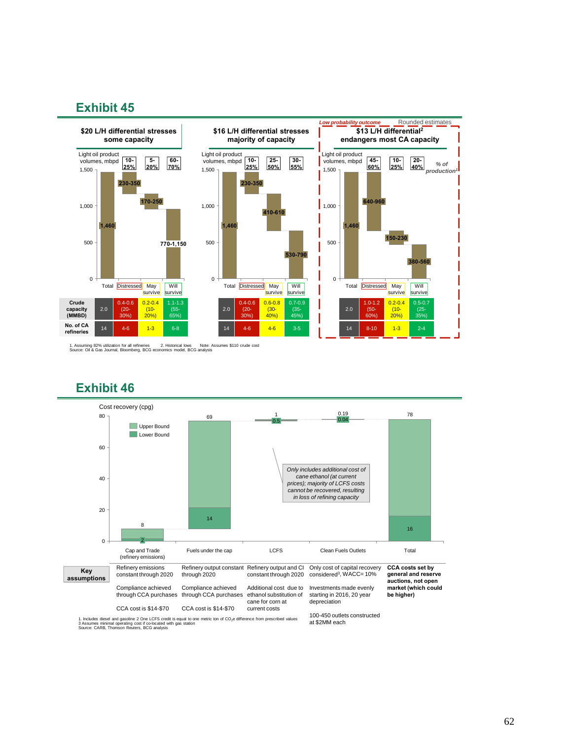

1. Assuming 82% utilization for all refineries 2. Historical lows Note: Assumes \$110 crude cost Source: Oil & Gas Journal, Bloomberg, BCG economics model, BCG analysis

### **Exhibit 46**



1. Includes diesel and gasoline 2 One LCFS credit is equal to one metric ton of CO<sub>2</sub>e difference from prescribed values<br>3 Assumes minimal operating cost if co-located with gas station<br>Source: CARB, Thomson Reuters, BCG an

62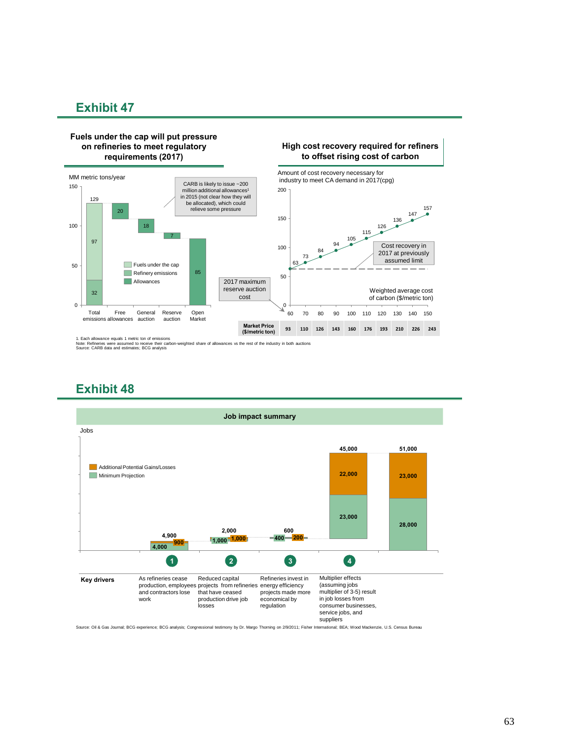#### **Fuels under the cap will put pressure on refineries to meet regulatory requirements (2017)**



**High cost recovery required for refiners to offset rising cost of carbon**

1. Each allowance equals 1 metric ton of emissions<br>Note: Refineries were assumed to receive their carbon-weighted share of allowances vs the rest of the industry in both auctions<br>Source: CARB data and estimates; BCG analys

### **Exhibit 48**



Source: Oil & Gas Journal; BCG experience; BCG analysis; Congressional testimony by Dr. Margo Thorning on 2/9/2011; Fisher International; BEA; Wood Mackenzie, U.S. Census Bureau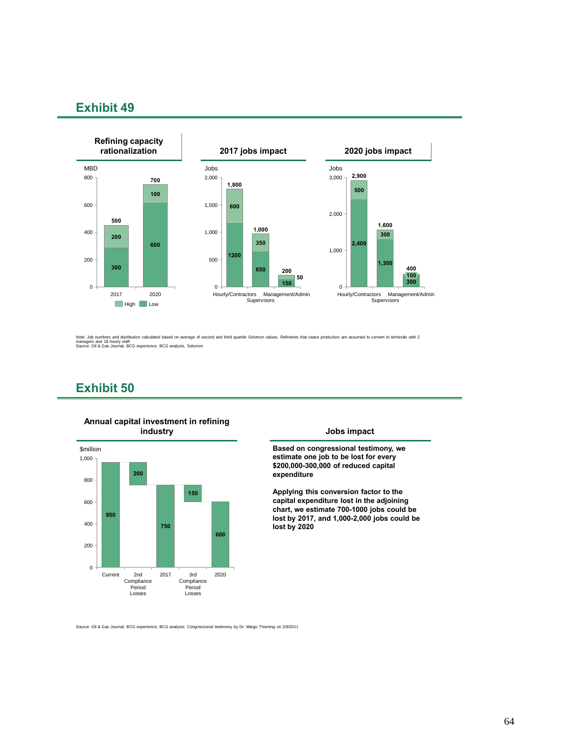

Note: Job numbers and distribution calculated based on average of second and third quartile Solomon values. Refineries that cease production are assumed to convert to terminals with 2<br>managers and 18 hourly staff<br>Source: O

### **Exhibit 50**



**Annual capital investment in refining** 

**Based on congressional testimony, we estimate one job to be lost for every \$200,000-300,000 of reduced capital expenditure**

**Applying this conversion factor to the capital expenditure lost in the adjoining chart, we estimate 700-1000 jobs could be lost by 2017, and 1,000-2,000 jobs could be lost by 2020**

Source: Oil & Gas Journal; BCG experience; BCG analysis; Congressional testimony by Dr. Margo Thorning on 2/9/2011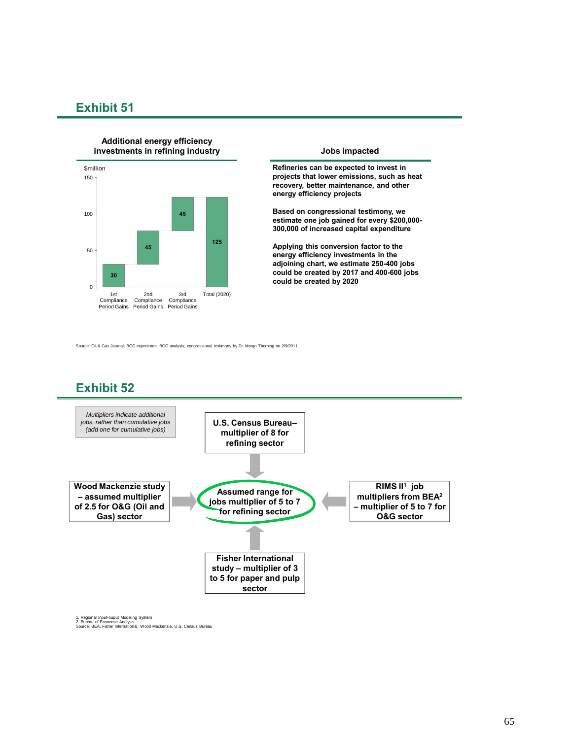

**Refineries can be expected to invest in projects that lower emissions, such as heat recovery, better maintenance, and other energy efficiency projects**

**Based on congressional testimony, we estimate one job gained for every \$200,000- 300,000 of increased capital expenditure**

**Applying this conversion factor to the energy efficiency investments in the adjoining chart, we estimate 250-400 jobs could be created by 2017 and 400-600 jobs could be created by 2020**

Source: Oil & Gas Journal; BCG experience; BCG analysis; congressional testimony by Dr. Margo Thorning on 2/9/2011

### **Exhibit 52**



1. Regional Input-ouput Modeling System 2. Bureau of Economic Analysis Source: BEA, Fisher International, Wood Mackenzie, U.S. Census Bureau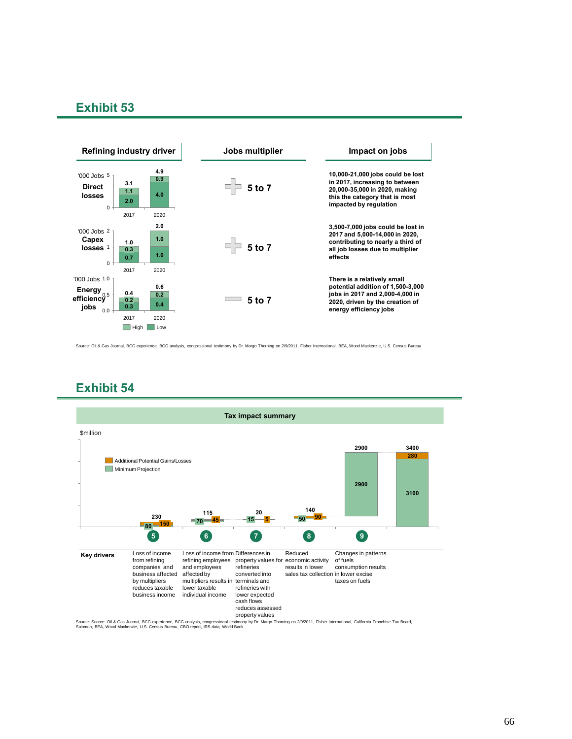

Source: Oil & Gas Journal, BCG experience, BCG analysis, congressional testimony by Dr. Margo Thorning on 2/9/2011, Fisher International, BEA, Wood Mackenzie, U.S. Census Bureau

### **Exhibit 54**

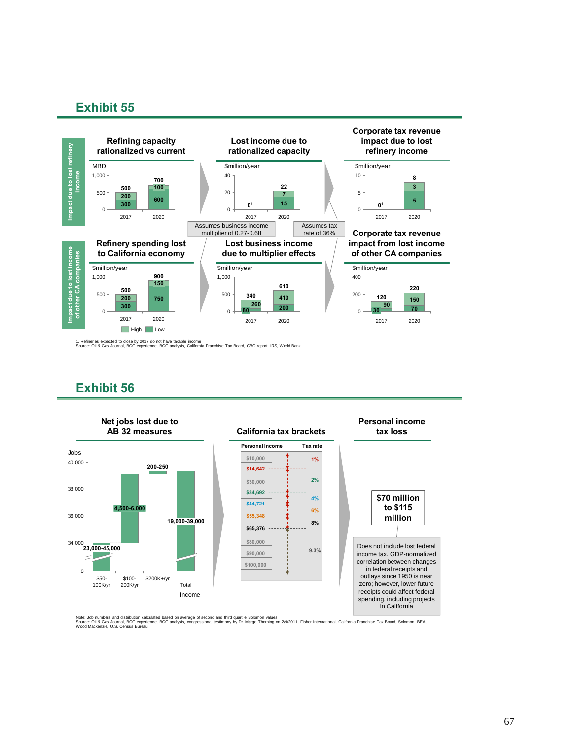

1. Refineries expected to close by 2017 do not have taxable income Source: Oil & Gas Journal, BCG experience, BCG analysis, California Franchise Tax Board, CBO report, IRS, World Bank

### **Exhibit 56**



Note: Job numbers and distribution calculated based on average of second and third quartile Solomon values<br>Source: Oil & Gas Journal, BCG experience, BCG analysis, congressional testimony by Dr. Margo Thoming on 2/9/2011,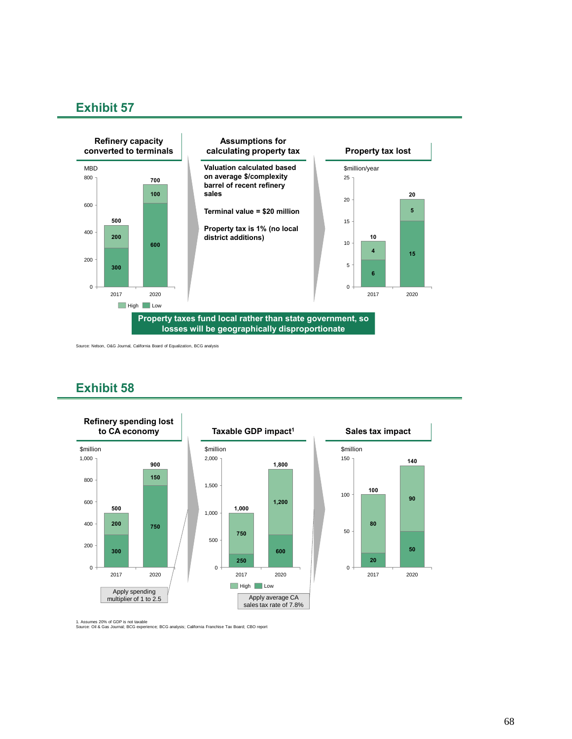

Source: Nelson, O&G Journal, California Board of Equalization, BCG analysis

### **Exhibit 58**



1. Assumes 20% of GDP is not taxable Source: Oil & Gas Journal; BCG experience; BCG analysis; California Franchise Tax Board; CBO report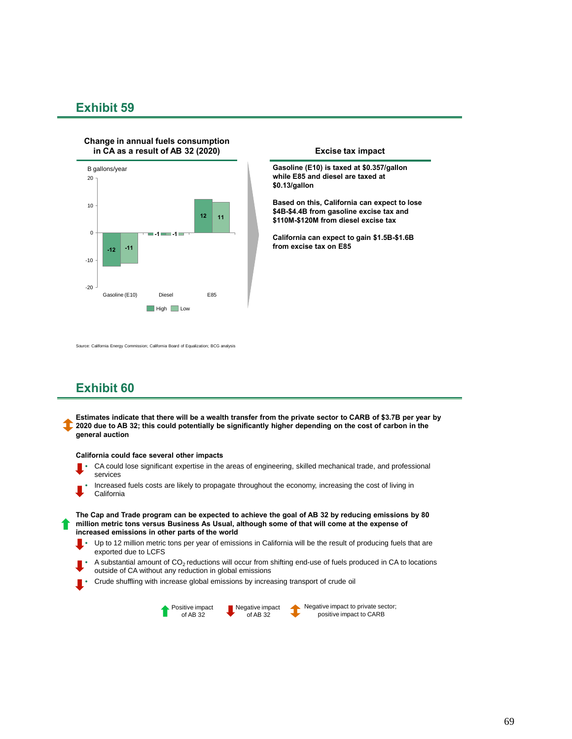#### **Change in annual fuels consumption in CA as a result of AB 32 (2020) Excise tax impact**



**Gasoline (E10) is taxed at \$0.357/gallon while E85 and diesel are taxed at \$0.13/gallon**

**Based on this, California can expect to lose \$4B-\$4.4B from gasoline excise tax and \$110M-\$120M from diesel excise tax**

**California can expect to gain \$1.5B-\$1.6B from excise tax on E85**

Source: California Energy Commission; California Board of Equalization; BCG analysis

### **Exhibit 60**

**Estimates indicate that there will be a wealth transfer from the private sector to CARB of \$3.7B per year by 2020 due to AB 32; this could potentially be significantly higher depending on the cost of carbon in the general auction**

#### **California could face several other impacts**

- CA could lose significant expertise in the areas of engineering, skilled mechanical trade, and professional services
- Increased fuels costs are likely to propagate throughout the economy, increasing the cost of living in California

**The Cap and Trade program can be expected to achieve the goal of AB 32 by reducing emissions by 80 million metric tons versus Business As Usual, although some of that will come at the expense of increased emissions in other parts of the world**

- Up to 12 million metric tons per year of emissions in California will be the result of producing fuels that are exported due to LCFS
- A substantial amount of CO<sub>2</sub> reductions will occur from shifting end-use of fuels produced in CA to locations outside of CA without any reduction in global emissions
- Crude shuffling with increase global emissions by increasing transport of crude oil



Negative impact to private sector; positive impact to CARB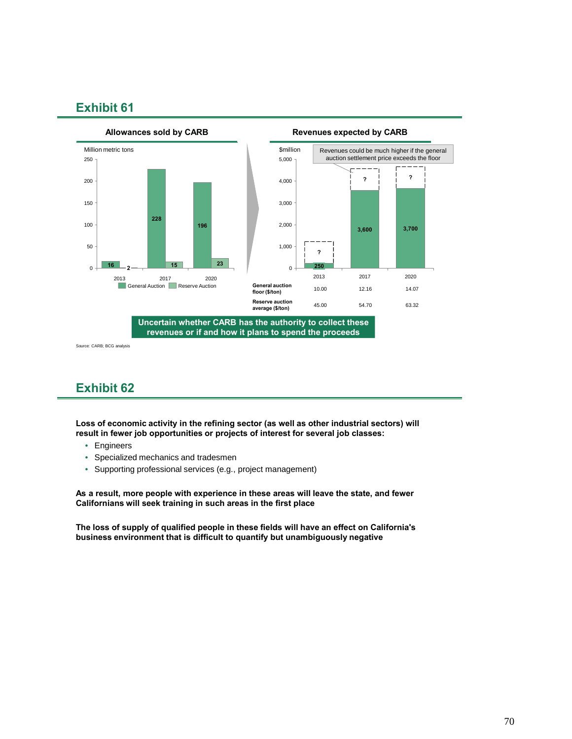

Source: CARB; BCG analysis

### **Exhibit 62**

**Loss of economic activity in the refining sector (as well as other industrial sectors) will result in fewer job opportunities or projects of interest for several job classes:**

- Engineers
- Specialized mechanics and tradesmen
- Supporting professional services (e.g., project management)

**As a result, more people with experience in these areas will leave the state, and fewer Californians will seek training in such areas in the first place**

**The loss of supply of qualified people in these fields will have an effect on California's business environment that is difficult to quantify but unambiguously negative**